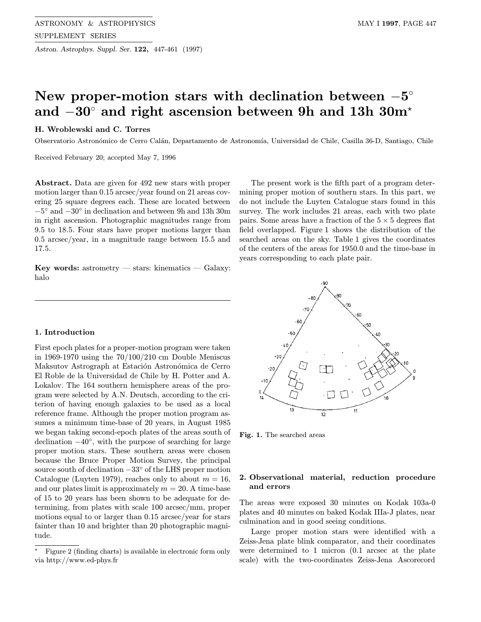Astron. Astrophys. Suppl. Ser. 122, 447-461 (1997)

# New proper-motion stars with declination between  $-5°$ and −30◦ and right ascension between 9h and 13h 30m?

### H. Wroblewski and C. Torres

Observatorio Astronómico de Cerro Calán, Departamento de Astronomía, Universidad de Chile, Casilla 36-D, Santiago, Chile

Received February 20; accepted May 7, 1996

Abstract. Data are given for 492 new stars with proper motion larger than 0.15 arcsec/year found on 21 areas covering 25 square degrees each. These are located between −5◦ and −30◦ in declination and between 9h and 13h 30m in right ascension. Photographic magnitudes range from 9.5 to 18.5. Four stars have proper motions larger than 0.5 arcsec/year, in a magnitude range between 15.5 and 17.5.

Key words: astrometry — stars: kinematics — Galaxy: halo

#### 1. Introduction

First epoch plates for a proper-motion program were taken in 1969-1970 using the 70/100/210 cm Double Meniscus Maksutov Astrograph at Estación Astronómica de Cerro El Roble de la Universidad de Chile by H. Potter and A. Lokalov. The 164 southern hemisphere areas of the program were selected by A.N. Deutsch, according to the criterion of having enough galaxies to be used as a local reference frame. Although the proper motion program assumes a minimum time-base of 20 years, in August 1985 we began taking second-epoch plates of the areas south of declination −40◦, with the purpose of searching for large proper motion stars. These southern areas were chosen because the Bruce Proper Motion Survey, the principal source south of declination  $-33°$  of the LHS proper motion Catalogue (Luyten 1979), reaches only to about  $m = 16$ , and our plates limit is approximately  $m = 20$ . A time-base of 15 to 20 years has been shown to be adequate for determining, from plates with scale 100 arcsec/mm, proper motions equal to or larger than 0.15 arcsec/year for stars fainter than 10 and brighter than 20 photographic magnitude.

The present work is the fifth part of a program determining proper motion of southern stars. In this part, we do not include the Luyten Catalogue stars found in this survey. The work includes 21 areas, each with two plate pairs. Some areas have a fraction of the  $5 \times 5$  degrees flat field overlapped. Figure 1 shows the distribution of the searched areas on the sky. Table 1 gives the coordinates of the centers of the areas for 1950.0 and the time-base in years corresponding to each plate pair.



Fig. 1. The searched areas

#### 2. Observational material, reduction procedure and errors

The areas were exposed 30 minutes on Kodak 103a-0 plates and 40 minutes on baked Kodak IIIa-J plates, near culmination and in good seeing conditions.

Large proper motion stars were identified with a Zeiss-Jena plate blink comparator, and their coordinates were determined to 1 micron (0.1 arcsec at the plate scale) with the two-coordinates Zeiss-Jena Ascorecord

<sup>?</sup> Figure 2 (finding charts) is available in electronic form only via http://www.ed-phys.fr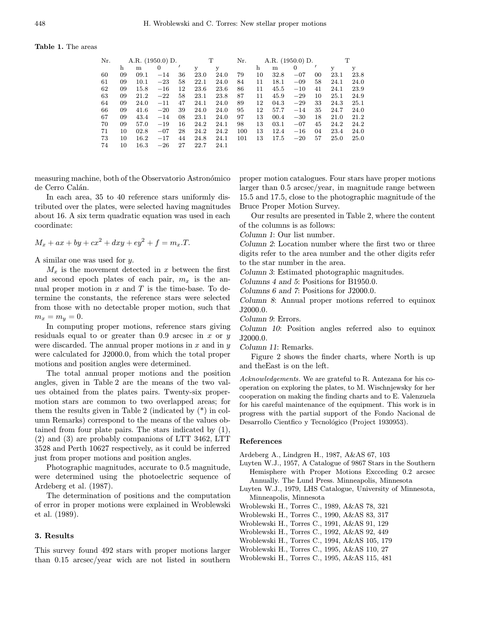#### Table 1. The areas

| Nr. |    | A.R. $(1950.0)$ D. |       |    | T    |      | Nr. |    | A.R. $(1950.0)$ D. |       |    | T    |      |
|-----|----|--------------------|-------|----|------|------|-----|----|--------------------|-------|----|------|------|
|     | h  | m                  | 0     |    | у    | у    |     | h  | m                  |       |    | у    | y    |
| 60  | 09 | 09.1               | $-14$ | 36 | 23.0 | 24.0 | 79  | 10 | 32.8               | $-07$ | 00 | 23.1 | 23.8 |
| 61  | 09 | 10.1               | $-23$ | 58 | 22.1 | 24.0 | 84  | 11 | 18.1               | $-09$ | 58 | 24.1 | 24.0 |
| 62  | 09 | 15.8               | $-16$ | 12 | 23.6 | 23.6 | 86  | 11 | 45.5               | $-10$ | 41 | 24.1 | 23.9 |
| 63  | 09 | 21.2               | $-22$ | 58 | 23.1 | 23.8 | 87  | 11 | 45.9               | $-29$ | 10 | 25.1 | 24.9 |
| 64  | 09 | 24.0               | $-11$ | 47 | 24.1 | 24.0 | 89  | 12 | 04.3               | $-29$ | 33 | 24.3 | 25.1 |
| 66  | 09 | 41.6               | $-20$ | 39 | 24.0 | 24.0 | 95  | 12 | 57.7               | $-14$ | 35 | 24.7 | 24.0 |
| 67  | 09 | 43.4               | $-14$ | 08 | 23.1 | 24.0 | 97  | 13 | 00.4               | $-30$ | 18 | 21.0 | 21.2 |
| 70  | 09 | 57.0               | $-19$ | 16 | 24.2 | 24.1 | 98  | 13 | 03.1               | $-07$ | 45 | 24.2 | 24.2 |
| 71  | 10 | 02.8               | $-07$ | 28 | 24.2 | 24.2 | 100 | 13 | 12.4               | $-16$ | 04 | 23.4 | 24.0 |
| 73  | 10 | 16.2               | $-17$ | 44 | 24.8 | 24.1 | 101 | 13 | 17.5               | $-20$ | 57 | 25.0 | 25.0 |
| 74  | 10 | $16.3\,$           | $-26$ | 27 | 22.7 | 24.1 |     |    |                    |       |    |      |      |

measuring machine, both of the Observatorio Astronómico de Cerro Calán.

In each area, 35 to 40 reference stars uniformly distributed over the plates, were selected having magnitudes about 16. A six term quadratic equation was used in each coordinate:

$$
M_x + ax + by + cx^2 + dxy + ey^2 + f = m_x \cdot T.
$$

A similar one was used for y.

 $M_x$  is the movement detected in x between the first and second epoch plates of each pair,  $m_x$  is the annual proper motion in  $x$  and  $T$  is the time-base. To determine the constants, the reference stars were selected from those with no detectable proper motion, such that  $m_x = m_y = 0.$ 

In computing proper motions, reference stars giving residuals equal to or greater than 0.9 arcsec in  $x$  or  $y$ were discarded. The annual proper motions in  $x$  and in  $y$ were calculated for J2000.0, from which the total proper motions and position angles were determined.

The total annual proper motions and the position angles, given in Table 2 are the means of the two values obtained from the plates pairs. Twenty-six propermotion stars are common to two overlapped areas; for them the results given in Table 2 (indicated by (\*) in column Remarks) correspond to the means of the values obtained from four plate pairs. The stars indicated by (1), (2) and (3) are probably companions of LTT 3462, LTT 3528 and Perth 10627 respectively, as it could be inferred just from proper motions and position angles.

Photographic magnitudes, accurate to 0.5 magnitude, were determined using the photoelectric sequence of Ardeberg et al. (1987).

The determination of positions and the computation of error in proper motions were explained in Wroblewski et al. (1989).

#### 3. Results

This survey found 492 stars with proper motions larger than 0.15 arcsec/year wich are not listed in southern

proper motion catalogues. Four stars have proper motions larger than 0.5 arcsec/year, in magnitude range between 15.5 and 17.5, close to the photographic magnitude of the Bruce Proper Motion Survey.

Our results are presented in Table 2, where the content of the columns is as follows:

Column 1: Our list number.

Column 2: Location number where the first two or three digits refer to the area number and the other digits refer to the star number in the area.

Column 3: Estimated photographic magnitudes.

Columns 4 and 5: Positions for B1950.0.

Columns 6 and 7: Positions for J2000.0.

Column 8: Annual proper motions referred to equinox J2000.0.

Column 9: Errors.

Column 10: Position angles referred also to equinox J2000.0.

Column 11: Remarks.

Figure 2 shows the finder charts, where North is up and theEast is on the left.

Acknowledgements. We are grateful to R. Antezana for his cooperation on exploring the plates, to M. Wischnjewsky for her cooperation on making the finding charts and to E. Valenzuela for his careful maintenance of the equipment. This work is in progress with the partial support of the Fondo Nacional de Desarrollo Cientfico y Tecnológico (Project 1930953).

#### References

Ardeberg A., Lindgren H., 1987, A&AS 67, 103

- Luyten W.J., 1957, A Catalogue of 9867 Stars in the Southern Hemisphere with Proper Motions Excceding 0.2 arcsec Annually. The Lund Press. Minneapolis, Minnesota
- Luyten W.J., 1979, LHS Catalogue, University of Minnesota, Minneapolis, Minnesota
- Wroblewski H., Torres C., 1989, A&AS 78, 321
- Wroblewski H., Torres C., 1990, A&AS 83, 317
- Wroblewski H., Torres C., 1991, A&AS 91, 129
- Wroblewski H., Torres C., 1992, A&AS 92, 449
- Wroblewski H., Torres C., 1994, A&AS 105, 179
- Wroblewski H., Torres C., 1995, A&AS 110, 27
- Wroblewski H., Torres C., 1995, A&AS 115, 481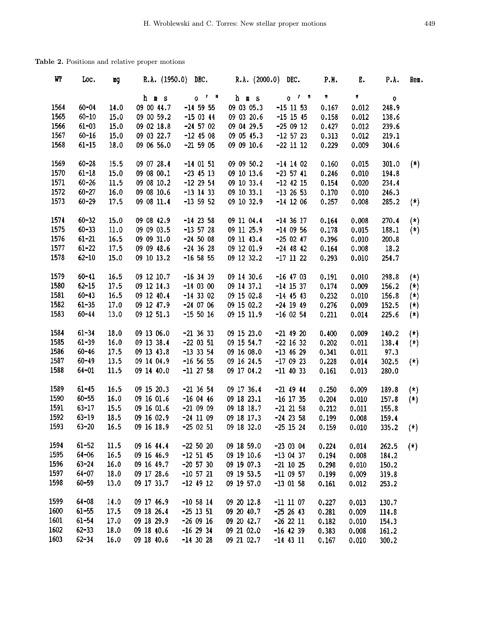## Table 2. Positions and relative proper motions

| Wľ   | Loc.      | Eg   | R.A. (1950.0) | DEC.                                        | R.A. (2000.0) | DEC.                               | P.H.  | Ε.    | P.A.        | Rem.                    |
|------|-----------|------|---------------|---------------------------------------------|---------------|------------------------------------|-------|-------|-------------|-------------------------|
|      |           |      | h m s         | $\mathbf{r}$ = $\mathbf{n}$<br>$\mathbf{o}$ | h m s         | $\mathbf{r}$ and $\mathbf{r}$<br>0 | n     | П     | $\mathbf 0$ |                         |
| 1564 | $60 - 04$ | 14.0 | 09 00 44.7    | $-14$ 59 55                                 | 09 03 05.3    | $-15$ 11 53                        | 0,167 | 0.012 | 248.9       |                         |
| 1565 | $60 - 10$ | 15.0 | 09 00 59.2    | $-150344$                                   | 09 03 20.6    | $-15$ 15 45                        | 0.158 | 0.012 | 138.6       |                         |
| 1566 | $61 - 03$ | 15.0 | 09 02 18.8    | $-24$ 57 02                                 | 09 04 29.5    | $-250912$                          | 0.427 | 0.012 | 239.6       |                         |
| 1567 | $60 - 16$ | 15.0 | 09 03 22.7    | $-12$ 45 08                                 | 09 05 45.3    | $-12$ 57 23                        | 0.313 | 0.012 | 219.1       |                         |
| 1568 | $61 - 15$ | 18.0 | 09 06 56.0    | $-21$ 59 05                                 | 09 09 10.6    | $-22$ 11 12                        | 0.229 | 0.009 | 304.6       |                         |
| 1569 | $60 - 28$ | 15.5 | 09 07 28.4    | $-14$ 01 51                                 | 09 09 50.2    | $-14$ 14 02                        | 0.160 | 0.015 | 301.0       | $(*)$                   |
| 1570 | $61 - 18$ | 15.0 | 09 08 00.1    | $-23$ 45 13                                 | 09 10 13.6    | $-23$ 57 41                        | 0.246 | 0.010 | 194.8       |                         |
| 1571 | $60 - 26$ | 11.5 | 09 08 10.2    | $-12$ 29 54                                 | 09 10 33.4    | $-12$ 42 15                        | 0.154 | 0.020 | 234.4       |                         |
| 1572 | $60 - 27$ | 16.0 | 09 08 10.6    | $-13$ 14 33                                 | 09 10 33.1    | $-13$ 26 53                        | 0.170 | 0.010 | 246.3       |                         |
| 1573 | $60 - 29$ | 17.5 | 09 08 11.4    | $-13$ 59 52                                 | 09 10 32.9    | $-14$ 12 06                        | 0.257 | 0.008 | 285.2       | $(*)$                   |
| 1574 | $60 - 32$ | 15.0 | 09 08 42.9    | $-14$ 23 58                                 | 09 11 04.4    | $-14$ 36 17                        | 0.164 | 0.008 | 270.4       | $(*)$                   |
| 1575 | $60 - 33$ | 11.0 | 09 09 03.5    | $-13$ 57 28                                 | 09 11 25.9    | $-14$ 09 56                        | 0.178 | 0.015 | 188.1       | $(*)$                   |
| 1576 | $61 - 21$ | 16.5 | 09 09 31.0    | $-24$ 50 08                                 | 09 11 43.4    | $-250247$                          | 0.396 | 0.010 | 200.8       |                         |
| 1577 | $61 - 22$ | 17.5 | 09 09 48.6    | $-24$ 36 28                                 | 09 12 01.9    | $-24$ 48 42                        | 0.164 | 0.008 | 18.2        |                         |
| 1578 | $62 - 10$ | 15.0 | 09 10 13.2    | $-16$ 58 55                                 | 09 12 32.2    | $-17$ 11 22                        | 0.293 | 0.010 | 254.7       |                         |
| 1579 | $60 - 41$ | 16.5 | 09 12 10.7    | $-16$ 34 39                                 | 09 14 30.6    | $-16$ 47 03                        | 0.191 | 0.010 | 298.8       | $(*)$                   |
| 1580 | $62 - 15$ | 17.5 | 09 12 14.3    | $-140300$                                   | 09 14 37.1    | $-14$ 15 37                        | 0.174 | 0.009 | 156.2       | $(\star)$               |
| 1581 | $60 - 43$ | 16.5 | 09 12 40.4    | $-14$ 33 02                                 | 09 15 02.8    | $-14$ 45 43                        | 0.232 | 0.010 | 156.8       | $(\star)$               |
| 1582 | $61 - 35$ | 17.0 | 09 12 47.9    | $-240706$                                   | 09 15 02.2    | $-24$ 19 49                        | 0.276 | 0.009 | 152.5       | $(*)$                   |
| 1583 | $60 - 44$ | 13.0 | 09 12 51.3    | $-155016$                                   | 09 15 11.9    | $-16$ 02 54                        | 0.211 | 0.014 | 225.6       | $(\star)$               |
| 1584 | $61 - 34$ | 18.0 | 09 13 06.0    | $-21$ 36 33                                 | 09 15 23.0    | $-21$ 49 20                        | 0.400 | 0.009 | 140.2       | $(*)$                   |
| 1585 | $61 - 39$ | 16.0 | 09 13 38.4    | $-22$ 03 51                                 | 09 15 54.7    | $-22$ 16 32                        | 0.202 | 0.011 | 138.4       | $(\star)$               |
| 1586 | $60 - 46$ | 17.5 | 09 13 43.8    | $-13$ 33 54                                 | 09 16 08.0    | $-13$ 46 29                        | 0.341 | 0.011 | 97.3        |                         |
| 1587 | $60 - 49$ | 13.5 | 09 14 04.9    | $-16565$                                    | 09 16 24.5    | $-170923$                          | 0.228 | 0.014 | 302.5       | $(*)$                   |
| 1588 | $64 - 01$ | 11.5 | 09 14 40.0    | $-11$ 27 58                                 | 09 17 04.2    | $-11$ 40 33                        | 0.161 | 0.013 | 280.0       |                         |
| 1589 | $61 - 45$ | 16.5 | 09 15 20.3    | $-21$ 36 54                                 | 09 17 36.4    | $-21$ 49 44                        | 0.250 | 0.009 | 189.8       | $(\star)$               |
| 1590 | $60 - 55$ | 16.0 | 09 16 01.6    | $-160446$                                   | 09 18 23.1    | $-16$ 17 35                        | 0.204 | 0.010 | 157.8       | $(*)$                   |
| 1591 | $63 - 17$ | 15.5 | 09 16 01.6    | $-210909$                                   | 09 18 18.7    | $-21$ 21 58                        | 0.212 | 0.011 | 155.8       |                         |
| 1592 | $63 - 19$ | 18.5 | 09 16 02.9    | $-24$ 11 09                                 | 09 18 17.3    | $-24$ 23 58                        | 0.199 | 0.008 | 159.4       |                         |
| 1593 | $63 - 20$ | 16.5 | 09 16 18.9    | $-250251$                                   | 09 18 32.0    | $-25$ 15 24                        | 0.159 | 0.010 | 335.2       | $\langle \cdot \rangle$ |
| 1594 | $61 - 52$ | 11.5 | 09 16 44.4    | $-22, 50, 20$                               | 09 18 59.0    | $-230304$                          | 0.224 | 0.014 | 262.5       | $(\star)$               |
| 1595 | $64 - 06$ | 16.5 | 09 16 46.9    | $-12$ 51 45                                 | 09 19 10.6    | $-13$ 04 37                        | 0.194 | 0.008 | 184.2       |                         |
| 1596 | $63 - 24$ | 16.0 | 09 16 49.7    | $-20$ 57 30                                 | 09 19 07.3    | $-21$ 10 25                        | 0.298 | 0.010 | 150.2       |                         |
| 1597 | $64 - 07$ | 18.0 | 09 17 28.6    | $-10$ 57 21                                 | 09 19 53.5    | $-11$ 09 57                        | 0.199 | 0.009 | 319.8       |                         |
| 1598 | $60 - 59$ | 13.0 | 09 17 33.7    | $-12$ 49 12                                 | 09 19 57.0    | $-13$ 01 58                        | 0.161 | 0.012 | 253.2       |                         |
| 1599 | $64 - 08$ | 14.0 | 09 17 46.9    | $-10$ 58 14                                 | 09 20 12.8    | $-11$ 11 07                        | 0.227 | 0.013 | 130.7       |                         |
| 1600 | $61 - 55$ | 17.5 | 09 18 26.4    | $-25$ 13 51                                 | 09 20 40.7    | $-25$ 26 43                        | 0.281 | 0.009 | 114.8       |                         |
| 1601 | $61 - 54$ | 17.0 | 09 18 29.9    | $-260916$                                   | 09 20 42.7    | $-26$ 22 11                        | 0.182 | 0.010 | 154.3       |                         |
| 1602 | $62 - 33$ | 18.0 | 09 18 40.6    | $-16$ 29 34                                 | 09 21 02.0    | $-16$ 42 39                        | 0.383 | 0.008 | 161.2       |                         |
| 1603 | $62 - 34$ | 16.0 | 09 18 40.6    | $-14$ 30 28                                 | 09 21 02.7    | $-14$ 43 11                        | 0.167 | 0.010 | 300.2       |                         |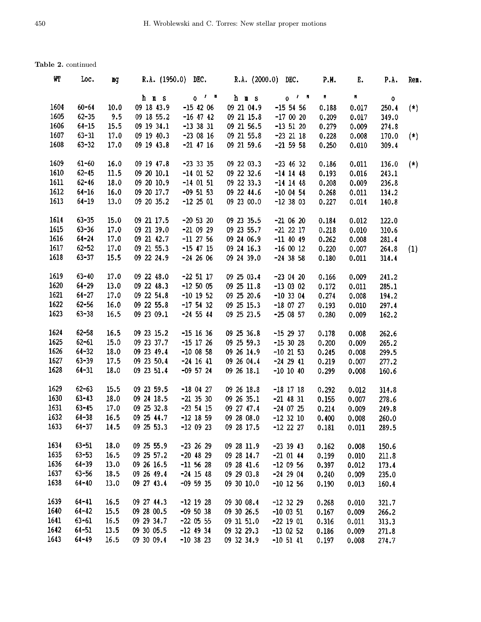| WT   | Loc.      | вg   | R.A. $(1950.0)$ DEC. |             | R.A. (2000.0) DEC. |             | P.M.  | Ε.    | P.A.  | Ren.  |
|------|-----------|------|----------------------|-------------|--------------------|-------------|-------|-------|-------|-------|
|      |           |      | h m s                | $0^{f-1}$   | h m s              | $0$ $1$ $n$ | π.    | Ħ     | ٥     |       |
| 1604 | $60 - 64$ | 10.0 | 09 18 43.9           | $-15$ 42 06 | 09 21 04.9         | $-15$ 54 56 | 0.188 | 0.017 | 250.4 | $(*)$ |
| 1605 | $62 - 35$ | 9.5  | 09 18 55.2           | $-16$ 47 42 | 09 21 15.8         | $-170020$   | 0.209 | 0.017 | 349.0 |       |
| 1606 | $64 - 15$ | 15.5 | 09 19 34.1           | $-13$ 38 31 | 09 21 56.5         | $-13$ 51 20 | 0.279 | 0.009 | 274.8 |       |
| 1607 | $63 - 31$ | 17.0 | 09 19 40.3           | $-230816$   | 09 21 55.8         | $-23$ 21 18 | 0.228 | 0.008 | 170.0 | $(*)$ |
| 1608 | $63 - 32$ | 17.0 | 09 19 43.8           | $-21$ 47 16 | 09 21 59.6         | $-21$ 59 58 | 0.250 | 0.010 | 309.4 |       |
| 1609 | $61 - 60$ | 16.0 | 09 19 47.8           | $-23$ 33 35 | 09 22 03.3         | $-23$ 46 32 | 0.186 | 0.011 | 136.0 | $(*)$ |
| 1610 | $62 - 45$ | 11.5 | 09 20 10.1           | $-14$ 01 52 | 09 22 32.6         | $-14$ 14 48 | 0.193 | 0.016 | 243.1 |       |
| 1611 | $62 - 46$ | 18.0 | 09 20 10.9           | $-14$ 01 51 | 09 22 33.3         | $-14$ 14 48 | 0.208 | 0.009 | 236.8 |       |
| 1612 | $64 - 16$ | 16.0 | 09 20 17.7           | $-09$ 51 53 | 09 22 44.6         | $-10$ 04 54 | 0.268 | 0.011 | 134.2 |       |
| 1613 | $64 - 19$ | 13.0 | 09 20 35.2           | $-12$ 25 01 | 09 23 00.0         | $-123803$   | 0.227 | 0.014 | 140.8 |       |
| 1614 | $63 - 35$ | 15.0 | 09 21 17.5           | $-20$ 53 20 | 09 23 35.5         | $-21$ 06 20 | 0.184 | 0.012 | 122.0 |       |
| 1615 | $63 - 36$ | 17.0 | 09 21 39.0           | $-210929$   | 09 23 55.7         | $-21$ 22 17 | 0.218 | 0.010 | 310.6 |       |
| 1616 | $64 - 24$ | 17.0 | 09 21 42.7           | $-11$ 27 56 | 09 24 06.9         | $-11$ 40 49 | 0.262 | 0.008 | 281.4 |       |
| 1617 | $62 - 52$ | 17.0 | 09 21 55.3           | $-15$ 47 15 | 09 24 16.3         | $-160012$   | 0.220 | 0.007 | 264.8 | (1)   |
| 1618 | $63 - 37$ | 15.5 | 09 22 24.9           | $-24$ 26 06 | 09 24 39.0         | $-24$ 38 58 | 0.180 | 0.011 | 314.4 |       |
| 1619 | $63 - 40$ | 17.0 | 09 22 48.0           | $-22$ 51 17 | 09 25 03.4         | $-230420$   | 0.166 | 0.009 | 241.2 |       |
| 1620 | $64 - 29$ | 13.0 | 09 22 48.3           | $-12,50,05$ | 09 25 11.8         | $-13$ 03 02 | 0.172 | 0.011 | 285.1 |       |
| 1621 | $64 - 27$ | 17.0 | 09 22 54.8           | $-10$ 19 52 | 09 25 20.6         | $-10$ 33 04 | 0.274 | 0.008 | 194.2 |       |
| 1622 | $62 - 56$ | 16.0 | 09 22 55.8           | $-17$ 54 32 | 09 25 15.3         | $-18$ 07 27 | 0.193 | 0.010 | 297.4 |       |
| 1623 | $63 - 38$ | 16.5 | 09 23 09.1           | $-24$ 55 44 | 09 25 23.5         | $-250857$   | 0.280 | 0.009 | 162.2 |       |
| 1624 | $62 - 58$ | 16.5 | 09 23 15.2           | $-15$ 16 36 | 09 25 36.8         | $-15$ 29 37 | 0.178 | 0.008 | 262.6 |       |
| 1625 | $62 - 61$ | 15.0 | 09 23 37.7           | $-15$ 17 26 | 09 25 59.3         | $-15$ 30 28 | 0.200 | 0.009 | 265.2 |       |
| 1626 | $64 - 32$ | 18.0 | 09 23 49.4           | $-10$ 08 58 | 09 26 14.9         | $-10$ 21 53 | 0.245 | 0.008 | 299.5 |       |
| 1627 | $63 - 39$ | 17.5 | 09 23 50.4           | $-24$ 16 41 | 09 26 04.4         | $-24$ 29 41 | 0.219 | 0.007 | 277.2 |       |
| 1628 | $64 - 31$ | 18.0 | 09 23 51.4           | $-09$ 57 24 | 09 26 18.1         | $-10$ 10 40 | 0.299 | 0.008 | 160.6 |       |
| 1629 | $62 - 63$ | 15.5 | 09 23 59.5           | $-180427$   | 09 26 18.8         | $-18$ 17 18 | 0.292 | 0.012 | 314.8 |       |
| 1630 | $63 - 43$ | 18.0 | 09 24 18.5           | $-21$ 35 30 | 09 26 35.1         | $-21$ 48 31 | 0.155 | 0.007 | 278.6 |       |
| 1631 | $63 - 45$ | 17.0 | 09 25 32.8           | $-23$ 54 15 | 09 27 47.4         | $-24$ 07 25 | 0.214 | 0.009 | 249.8 |       |
| 1632 | $64 - 38$ | 16.5 | 09 25 44.7           | $-12$ 18 59 | 09 28 08.0         | $-12$ 32 10 | 0.400 | 0.008 | 260.0 |       |
| 1633 | $64 - 37$ | 14.5 | 09 25 53.3           | $-120923$   | 09 28 17.5         | $-12$ 22 27 | 0.181 | 0.011 | 289.5 |       |
| 1634 | $63 - 51$ | 18.0 | 09 25 55.9           | $-23$ 26 29 | 09 28 11.9         | $-23$ 39 43 | 0.162 | 0.008 | 150.6 |       |
| 1635 | $63 - 53$ | 16.5 | 09 25 57.2           | $-20$ 48 29 | 09 28 14.7         | $-21$ 01 44 | 0.199 | 0.010 | 211.8 |       |
| 1636 | $64 - 39$ | 13.0 | 09 26 16.5           | $-11$ 56 28 | 09 28 41.6         | $-120956$   | 0.397 | 0.012 | 173.4 |       |
| 1637 | $63 - 56$ | 18.5 | 09 26 49.4           | $-24$ 15 48 | 09 29 03.8         | $-24$ 29 04 | 0.240 | 0.009 | 235.0 |       |
| 1638 | $64 - 40$ | 13.0 | 09 27 43.4           | $-09$ 59 35 | 09 30 10.0         | $-10$ 12 56 | 0.190 | 0.013 | 160.4 |       |
| 1639 | $64 - 41$ | 16.5 | 09 27 44.3           | $-12$ 19 28 | 09 30 08.4         | $-12$ 32 29 | 0.268 | 0.010 | 321.7 |       |
| 1640 | $64 - 42$ | 15.5 | 09 28 00.5           | $-095038$   | 09 30 26.5         | $-10$ 03 51 | 0.167 | 0.009 | 266.2 |       |
| 1641 | $63 - 61$ | 16.5 | 09 29 34.7           | $-22$ 05 55 | 09 31 51.0         | $-22$ 19 01 | 0.316 | 0.011 | 313.3 |       |
| 1642 | $64 - 51$ | 13.5 | 09 30 05.5           | $-12$ 49 34 | 09 32 29.3         | $-13$ 02 52 | 0.186 | 0.009 | 271.8 |       |
| 1643 | $64 - 49$ | 16.5 | 09 30 09.4           | $-10$ 38 23 | 09 32 34.9         | $-10$ 51 41 | 0.197 | 0.008 | 274.7 |       |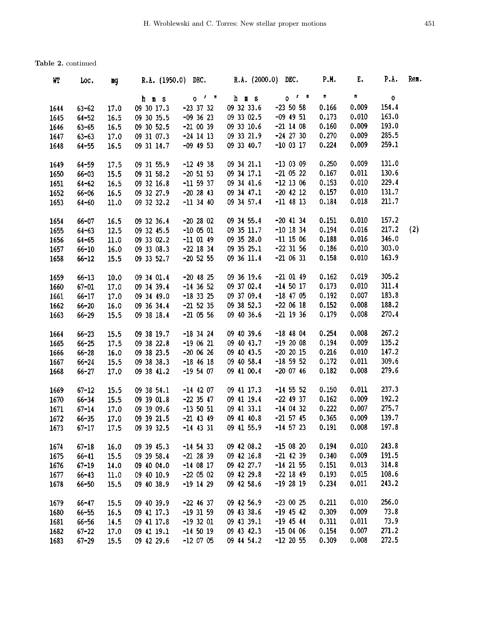| WI   | Loc.      | mg   | R.A. (1950.0) DEC. |               | R.A. (2000.0) DEC. |               | P.H.  | Е.    | P.A.      | Rem. |
|------|-----------|------|--------------------|---------------|--------------------|---------------|-------|-------|-----------|------|
|      |           |      | h m s              | $0$ $1$ $\pi$ | h m s              | $0t$ = $n$    | n     | n     | $\bullet$ |      |
| 1644 | $63 - 62$ | 17.0 | 09 30 17.3         | $-23$ 37 32   | 09 32 33.6         | $-23, 50, 58$ | 0.166 | 0.009 | 154.4     |      |
| 1645 | $64 - 52$ | 16.5 | 09 30 35.5         | $-09$ 36 23   | 09 33 02.5         | $-09$ 49 51   | 0.173 | 0.010 | 163.0     |      |
| 1646 | $63 - 65$ | 16.5 | 09 30 52.5         | $-210039$     | 09 33 10.6         | $-21$ 14 08   | 0.160 | 0.009 | 193.0     |      |
| 1647 | $63 - 63$ | 17.0 | 09 31 07.3         | $-24$ 14 13   | 09 33 21.9         | $-24$ 27 30   | 0.270 | 0.009 | 285.5     |      |
| 1648 | $64 - 55$ | 16.5 | 09 31 14.7         | $-09$ 49 53   | 09 33 40.7         | $-10$ 03 17   | 0.224 | 0.009 | 259.1     |      |
| 1649 | 64-59     | 17.5 | 09 31 55.9         | $-12$ 49 38   | 09 34 21.1         | $-13$ 03 09   | 0.250 | 0.009 | 131.0     |      |
| 1650 | $66 - 03$ | 15.5 | 09 31 58.2         | $-20$ 51 53   | 09 34 17.1         | $-21$ 05 22   | 0.167 | 0.011 | 130.6     |      |
| 1651 | $64 - 62$ | 16.5 | 09 32 16.8         | $-11$ 59 37   | 09 34 41.6         | $-12$ 13 06   | 0.153 | 0.010 | 229.4     |      |
| 1652 | $66 - 06$ | 16.5 | 09 32 27.9         | $-20$ 28 43   | 09 34 47.1         | $-20$ 42 12   | 0.157 | 0.010 | 131.7     |      |
| 1653 | $64 - 60$ | 11.0 | 09 32 32.2         | $-11$ 34 40   | 09 34 57.4         | $-11$ 48 13   | 0.184 | 0.018 | 211.7     |      |
| 1654 | $66 - 07$ | 16.5 | 09 32 36.4         | $-202802$     | 09 34 55.4         | $-20$ 41 34   | 0.151 | 0.010 | 157.2     |      |
| 1655 | $64 - 63$ | 12.5 | 09 32 45.5         | $-100501$     | 09 35 11.7         | $-10$ 18 34   | 0.194 | 0.016 | 217.2     | (2)  |
| 1656 | $64 - 65$ | 11.0 | 09 33 02.2         | $-11$ 01 49   | 09 35 28.0         | $-11$ 15 06   | 0.188 | 0.016 | 346.0     |      |
| 1657 | $66 - 10$ | 16.0 | 09 33 08.3         | $-22$ 18 34   | 09 35 25.1         | $-22$ 31 56   | 0.186 | 0.010 | 303.0     |      |
| 1658 | $66 - 12$ | 15.5 | 09 33 52.7         | $-20$ 52 55   | 09 36 11.4         | $-21$ 06 31   | 0.158 | 0.010 | 163.9     |      |
| 1659 | $66 - 13$ | 10.0 | 09 34 01.4         | $-20$ 48 25   | 09 36 19.6         | $-21$ 01 49   | 0.162 | 0.019 | 305.2     |      |
| 1660 | $67 - 01$ | 17.0 | 09 34 39.4         | $-14$ 36 52   | 09 37 02.4         | $-14$ 50 17   | 0.173 | 0.010 | 311.4     |      |
| 1661 | $66 - 17$ | 17.0 | 09 34 49.0         | $-18$ 33 25   | 09 37 09.4         | $-18$ 47 05   | 0.192 | 0.007 | 183.8     |      |
| 1662 | $66 - 20$ | 16.0 | 09 36 34.4         | $-21$ 52 35   | 09 38 52.3         | $-220618$     | 0.152 | 0.008 | 188.2     |      |
| 1663 | $66 - 29$ | 15.5 | 09 38 18.4         | $-21$ 05 56   | 09 40 36.6         | $-21$ 19 36   | 0.179 | 0.008 | 270.4     |      |
| 1664 | $66 - 23$ | 15.5 | 09 38 19.7         | $-18$ 34 24   | 09 40 39.6         | $-18$ 48 04   | 0.254 | 0.008 | 267.2     |      |
| 1665 | $66 - 25$ | 17.5 | 09 38 22.8         | $-190621$     | 09 40 43.7         | $-192008$     | 0.194 | 0.009 | 135.2     |      |
| 1666 | $66 - 28$ | 16.0 | 09 38 23.5         | $-200626$     | 09 40 43.5         | $-20$ 20 15   | 0.216 | 0.010 | 147.2     |      |
| 1667 | $66 - 24$ | 15.5 | 09 38 38.3         | $-18$ 46 18   | 09 40 58.4         | $-18$ 59 52   | 0.172 | 0.011 | 309.6     |      |
| 1668 | $66 - 27$ | 17.0 | 09 38 41.2         | $-19$ 54 07   | 09 41 00.4         | $-20$ 07 46   | 0.182 | 0.008 | 279.6     |      |
| 1669 | $67 - 12$ | 15.5 | 09 38 54.1         | $-14$ 42 07   | 09 41 17.3         | $-14$ 55 52   | 0.150 | 0.011 | 237.3     |      |
| 1670 | $66 - 34$ | 15.5 | 09 39 01.8         | $-22$ 35 47   | 09 41 19.4         | $-22$ 49 37   | 0.162 | 0.009 | 192.2     |      |
| 1671 | $67 - 14$ | 17.0 | 09 39 09.6         | $-135051$     | 09 41 33.1         | $-14$ 04 32   | 0.222 | 0.007 | 275.7     |      |
| 1672 | $66 - 35$ | 17.0 | 09 39 21.5         | $-21$ 43 49   | 09 41 40.8         | $-21$ 57 45   | 0.365 | 0.009 | 139.7     |      |
| 1673 | $67 - 17$ | 17.5 | 09 39 32.5         | $-14$ 43 31   | 09 41 55.9         | $-14$ 57 23   | 0.191 | 0.008 | 197.8     |      |
| 1674 | $67 - 18$ | 16.0 | 09 39 45.3         | $-14$ 54 33   | 09 42 08.2         | $-150820$     | 0.194 | 0.010 | 243.8     |      |
| 1675 | $66 - 41$ | 15.5 | 09 39 58.4         | $-21$ 28 39   | 09 42 16.8         | $-21$ 42 39   | 0.340 | 0.009 | 191.5     |      |
| 1676 | $67 - 19$ | 14.0 | 09 40 04.0         | $-14$ 08 17   | 09 42 27.7         | $-14$ 21 55   | 0.151 | 0.013 | 314.8     |      |
| 1677 | $66 - 43$ | 11.0 | 09 40 10.9         | $-220502$     | 09 42 29.8         | $-22$ 18 49   | 0.193 | 0.015 | 108.6     |      |
| 1678 | $66 - 50$ | 15.5 | 09 40 38.9         | $-19$ 14 29   | 09 42 58.6         | $-192819$     | 0.234 | 0.011 | 243.2     |      |
| 1679 | $66 - 47$ | 15.5 | 09 40 39.9         | $-22$ 46 37   | 09 42 56.9         | $-230025$     | 0.211 | 0.010 | 256.0     |      |
| 1680 | $66 - 55$ | 16.5 | 09 41 17.3         | $-19$ 31 59   | 09 43 38.6         | $-19$ 45 42   | 0.309 | 0.009 | 73.8      |      |
| 1681 | 66-56     | 14.5 | 09 41 17.8         | $-19$ 32 01   | 09 43 39.1         | $-19$ 45 44   | 0.311 | 0.011 | 73.9      |      |
| 1682 | $67 - 22$ | 17.0 | 09 41 19.1         | $-14$ 50 19   | 09 43 42.3         | $-150406$     | 0.154 | 0.007 | 271.2     |      |
| 1683 | $67 - 29$ | 15.5 | 09 42 29.6         | $-120705$     | 09 44 54.2         | $-12$ 20 55   | 0.309 | 0.008 | 272.5     |      |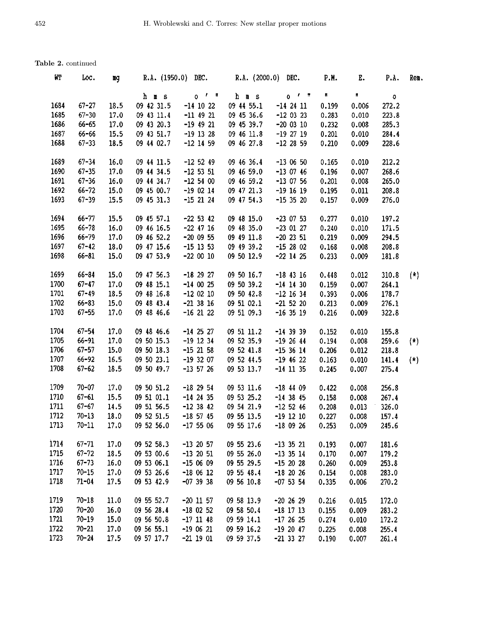| WT   | Loc.      | mg   | R.A. (1950.0) DEC. |             | R.A. $(2000.0)$ DEC. |                | P.N.  | E.    | P.A.  | Ren.  |
|------|-----------|------|--------------------|-------------|----------------------|----------------|-------|-------|-------|-------|
|      |           |      | hms                | $0 - 1 - 1$ | h m s                | 0 <sup>t</sup> | n     | Ħ     | 0     |       |
| 1684 | $67 - 27$ | 18.5 | 09 42 31.5         | $-14$ 10 22 | 09 44 55.1           | $-14$ 24 11    | 0.199 | 0.006 | 272.2 |       |
| 1685 | $67 - 30$ | 17.0 | 09 43 11.4         | $-11$ 49 21 | 09 45 36.6           | $-12$ 03 23    | 0.283 | 0.010 | 223.8 |       |
| 1686 | 66-65     | 17.0 | 09 43 20.3         | $-19$ 49 21 | 09 45 39.7           | $-20$ 03 10    | 0.232 | 0.008 | 285.3 |       |
| 1687 | 66-66     | 15.5 | 09 43 51.7         | $-19$ 13 28 | 09 46 11.8           | $-19$ 27 19    | 0.201 | 0.010 | 284.4 |       |
| 1688 | $67 - 33$ | 18.5 | 09 44 02.7         | $-12$ 14 59 | 09 46 27.8           | $-12$ 28 59    | 0.210 | 0.009 | 228.6 |       |
| 1689 | $67 - 34$ | 16.0 | 09 44 11.5         | $-12$ 52 49 | 09 46 36.4           | $-130650$      | 0.165 | 0.010 | 212.2 |       |
| 1690 | $67 - 35$ | 17.0 | 09 44 34.5         | $-125351$   | 09 46 59.0           | $-130746$      | 0.196 | 0.007 | 268.6 |       |
| 1691 | $67 - 36$ | 16.0 | 09 44 34.7         | $-125400$   | 09 46 59.2           | $-13$ 07 56    | 0.201 | 0.008 | 265.0 |       |
| 1692 | $66 - 72$ | 15.0 | 09 45 00.7         | $-19$ 02 14 | 09 47 21.3           | $-19$ 16 19    | 0.195 | 0.011 | 208.8 |       |
| 1693 | $67 - 39$ | 15.5 | 09 45 31.3         | $-15$ 21 24 | 09 47 54.3           | $-15$ 35 20    | 0.157 | 0.009 | 276.0 |       |
| 1694 | $66 - 77$ | 15.5 | 09 45 57.1         | $-22$ 53 42 | 09 48 15.0           | $-23$ 07 53    | 0.277 | 0.010 | 197.2 |       |
| 1695 | $66 - 78$ | 16.0 | 09 46 16.5         | $-22$ 47 16 | 09 48 35.0           | $-23$ 01 27    | 0.240 | 0.010 | 171.5 |       |
| 1696 | $66 - 79$ | 17.0 | 09 46 52.2         | $-20$ 09 55 | 09 49 11.8           | $-20$ 23 51    | 0.219 | 0.009 | 294.5 |       |
| 1697 | $67 - 42$ | 18.0 | 09 47 15.6         | $-15$ 13 53 | 09 49 39.2           | $-152802$      | 0.168 | 0.008 | 208.8 |       |
| 1698 | $66 - 81$ | 15.0 | 09 47 53.9         | $-220010$   | 09 50 12.9           | $-22$ 14 25    | 0.233 | 0.009 | 181.8 |       |
| 1699 | $66 - 84$ | 15.0 | 09 47 56.3         | $-182927$   | 09 50 16.7           | $-18$ 43 16    | 0.448 | 0.012 | 310.8 | $(*)$ |
| 1700 | $67 - 47$ | 17.0 | 09 48 15.1         | $-140025$   | 09 50 39.2           | $-14$ 14 30    | 0.159 | 0.007 | 264.1 |       |
| 1701 | $67 - 49$ | 18.5 | 09 48 16.8         | $-120210$   | 09 50 42.8           | $-12$ 16 34    | 0.393 | 0.006 | 178.7 |       |
| 1702 | $66 - 83$ | 15.0 | 09 48 43.4         | $-21$ 38 16 | 09 51 02.1           | $-21$ 52 20    | 0.213 | 0.009 | 276.1 |       |
| 1703 | $67 - 55$ | 17.0 | 09 48 46.6         | $-16$ 21 22 | 09 51 09.3           | $-16$ 35 19    | 0.216 | 0.009 | 322.8 |       |
| 1704 | $67 - 54$ | 17.0 | 09 48 46.6         | $-14$ 25 27 | 09 51 11.2           | $-14$ 39 39    | 0.152 | 0.010 | 155.8 |       |
| 1705 | $66 - 91$ | 17.0 | 09 50 15.3         | $-19$ 12 34 | 09 52 35.9           | $-192644$      | 0.194 | 0.008 | 259.6 | $(*)$ |
| 1706 | $67 - 57$ | 15.0 | 09 50 18.3         | $-15$ 21 58 | 09 52 41.8           | $-153614$      | 0.206 | 0.012 | 218.8 |       |
| 1707 | $66 - 92$ | 16.5 | 09 50 23.1         | $-193207$   | 09 52 44.5           | $-19$ 46 22    | 0.163 | 0.010 | 141.4 | $(*)$ |
| 1708 | $67 - 62$ | 18.5 | 09 50 49.7         | $-13$ 57 26 | 09 53 13.7           | $-14$ 11 35    | 0.245 | 0.007 | 275.4 |       |
| 1709 | $70 - 07$ | 17.0 | 09 50 51.2         | $-18$ 29 54 | 09 53 11.6           | $-18$ 44 09    | 0.422 | 0.008 | 256.8 |       |
| 1710 | $67 - 61$ | 15.5 | 09 51 01.1         | $-14$ 24 35 | 09 53 25.2           | $-14$ 38 45    | 0.158 | 0.008 | 267.4 |       |
| 1711 | $67 - 67$ | 14.5 | 09 51 56.5         | $-123842$   | 09 54 21.9           | $-12$ 52 46    | 0.208 | 0.013 | 326.0 |       |
| 1712 | $70 - 13$ | 18.0 | 09 52 51.5         | $-18$ 57 45 | 09 55 13.5           | $-19$ 12 10    | 0.227 | 0.008 | 157.4 |       |
| 1713 | $70 - 11$ | 17.0 | 09 52 56.0         | $-17506$    | 09 55 17.6           | $-180926$      | 0.253 | 0.009 | 245.6 |       |
| 1714 | $67 - 71$ | 17.0 | 09 52 58.3         | $-13$ 20 57 | 09 55 23.6           | $-13$ 35 21    | 0.193 | 0.007 | 181.6 |       |
| 1715 | $67 - 72$ | 18.5 | 09 53 00.6         | $-13$ 20 51 | 09 55 26.0           | $-13$ 35 14    | 0.170 | 0.007 | 179.2 |       |
| 1716 | $67 - 73$ | 16.0 | 09 53 06.1         | $-150609$   | 09 55 29.5           | $-152028$      | 0.260 | 0.009 | 253.8 |       |
| 1717 | $70 - 15$ | 17.0 | 09 53 26.6         | $-180612$   | 09 55 48.4           | $-18$ 20 26    | 0.154 | 0.008 | 283.0 |       |
| 1718 | $71 - 04$ | 17.5 | 09 53 42.9         | $-07$ 39 38 | 09 56 10.8           | $-07$ 53 54    | 0.335 | 0.006 | 270.2 |       |
| 1719 | $70 - 18$ | 11.0 | 09 55 52.7         | $-20$ 11 57 | 09 58 13.9           | $-20$ 26 29    | 0.216 | 0.015 | 172.0 |       |
| 1720 | $70 - 20$ | 16.0 | 09 56 28.4         | $-18$ 02 52 | 09 58 50.4           | $-18$ 17 13    | 0.155 | 0.009 | 283.2 |       |
| 1721 | $70 - 19$ | 15.0 | 09 56 50.8         | $-17$ 11 48 | 09 59 14.1           | $-172625$      | 0.274 | 0.010 | 172.2 |       |
| 1722 | $70 - 21$ | 17.0 | 09 56 55.1         | $-190621$   | 09 59 16.2           | $-19$ 20 47    | 0.225 | 0.008 | 255.4 |       |
| 1723 | $70 - 24$ | 17.5 | 09 57 17.7         | $-21$ 19 01 | 09 59 37.5           | $-21$ 33 27    | 0.190 | 0.007 | 261.4 |       |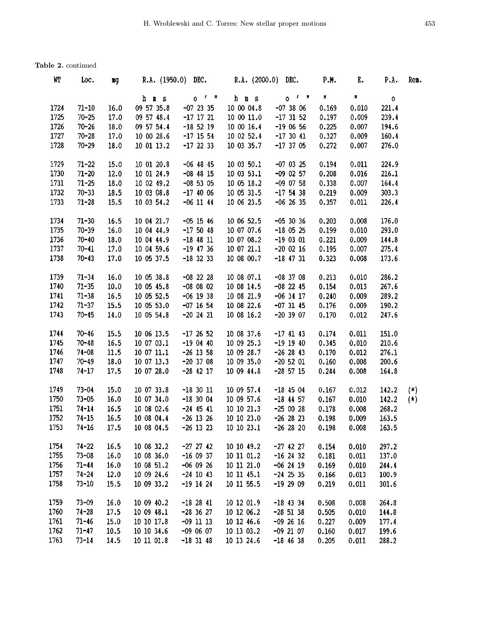| WT   | Loc.      | щg   | R.A. (1950.0) DEC.       |               | $R.A. (2000.0)$ DEC. |                     | P.M.  | E.    | P.A.         | Rem.  |
|------|-----------|------|--------------------------|---------------|----------------------|---------------------|-------|-------|--------------|-------|
|      |           |      | h m s                    | $0$ $1$ $\mu$ | h m s                | $0^{-1}$ $^{\circ}$ | n     | n     | $\mathbf{o}$ |       |
| 1724 | $71 - 10$ | 16.0 | 09 57 35.8               | $-07$ 23 35   | 10 00 04.8           | $-073806$           | 0.169 | 0.010 | 221.4        |       |
| 1725 | $70 - 25$ | 17.0 | 09 57 48.4               | $-17$ 17 21   | 10 00 11.0           | $-17$ 31 52         | 0.197 | 0.009 | 239.4        |       |
| 1726 | $70 - 26$ | 18.0 | 09 57 54.4               | $-18$ 52 19   | 10 00 16.4           | $-190656$           | 0.225 | 0.007 | 194.6        |       |
| 1727 | $70 - 28$ | 17.0 | 10 00 28.6               | $-17$ 15 54   | 10 02 52.4           | $-173041$           | 0.327 | 0.009 | 160.4        |       |
| 1728 | $70 - 29$ | 18.0 | 10 01 13.2               | $-17$ 22 33   | 10 03 35.7           | $-173705$           | 0.272 | 0.007 | 276.0        |       |
| 1729 | $71 - 22$ | 15.0 | 10 01 20.8               | $-06$ 48 45   | 10 03 50.1           | $-07$ 03 25         | 0.194 | 0.011 | 224.9        |       |
| 1730 | $71 - 20$ | 12.0 | 10 01 24.9               | $-08$ 48 15   | 10 03 53.1           | $-09$ 02 57         | 0.208 | 0.016 | 216.1        |       |
| 1731 | $71 - 25$ | 18.0 | 10 02 49.2               | $-08$ 53 05   | 10 05 18.2           | $-09$ 07 58         | 0.338 | 0.007 | 164.4        |       |
| 1732 | $70 - 33$ | 18.5 | 10 03 08.8               | $-17$ 40 06   | 10 05 31.5           | $-17$ 54 38         | 0.219 | 0.009 | 303.3        |       |
| 1733 | $71 - 28$ | 15.5 | 10 03 54.2               | $-06$ 11 44   | 10 06 23.5           | $-06$ 26 35         | 0.357 | 0.011 | 226.4        |       |
| 1734 | $71 - 30$ | 16.5 | 10 04 21.7               | $-05$ 15 46   | 10 06 52.5           | $-053036$           | 0.203 | 0.008 | 176.0        |       |
| 1735 | $70 - 39$ | 16.0 | 10 04 44.9               | $-175048$     | 10 07 07.6           | $-18$ 05 25         | 0.199 | 0.010 | 293.0        |       |
| 1736 | $70 - 40$ | 18.0 | 10 04 44.9               | $-18$ 48 11   | 10 07 08.2           | $-190301$           | 0.221 | 0.009 | 144.8        |       |
| 1737 | $70 - 41$ | 17.0 | 10 04 59.6               | $-19$ 47 36   | 10 07 21.1           | $-20$ 02 16         | 0.195 | 0.007 | 275.4        |       |
| 1738 | $70 - 43$ | 17.0 | 10 05 37.5               | $-18$ 32 33   | 10 08 00.7           | $-18$ 47 31         | 0.323 | 0.008 | 173.6        |       |
| 1739 | $71 - 34$ | 16.0 | 10 05 38.8               | $-08$ 22 28   | 10 08 07.1           | $-08$ 37 08         | 0.213 | 0.010 | 286.2        |       |
| 1740 | $71 - 35$ | 10.0 | 10 05 45.8               | $-08$ 08 02   | 10 08 14.5           | $-08$ 22 45         | 0.154 | 0.013 | 267.6        |       |
| 1741 | $71 - 38$ | 16.5 | 10 05 52.5               | $-06$ 19 38   | 10 08 21.9           | $-06$ 34 17         | 0.240 | 0.009 | 289.2        |       |
| 1742 | $71 - 37$ | 15.5 | 10 05 53.0               | $-07$ 16 54   | 10 08 22.6           | $-07$ 31 45         | 0.176 | 0.009 | 190.2        |       |
| 1743 | $70 - 45$ | 14.0 | 10 05 54.8               | $-20$ 24 21   | 10 08 16.2           | $-20$ 39 07         | 0.170 | 0.012 | 247.6        |       |
| 1744 | $70 - 46$ | 15.5 | 10 06 13.5               | $-172652$     | 10 08 37.6           | $-17$ 41 43         | 0.174 | 0.011 | 151.0        |       |
| 1745 | $70 - 48$ | 16.5 | 10 07 03.1               | $-190440$     | 10 09 25.3           | $-19$ 19 40         | 0.345 | 0.010 | 210.6        |       |
| 1746 | $74 - 08$ | 11.5 | 10 07 11.1               | $-26$ 13 58   | 10 09 28.7           | $-26$ 28 43         | 0.170 | 0.012 | 276.1        |       |
| 1747 | $70 - 49$ | 18.0 | 10 07 13.3               | $-20$ 37 08   | 10 09 35.0           | $-20$ 52 01         | 0.160 | 0.008 | 200.6        |       |
| 1748 | $74 - 17$ | 17.5 | 10 07 28.0               | $-28$ 42 17   | 10 09 44.8           | $-28$ 57 15         | 0.244 | 0.008 | 164.8        |       |
| 1749 | $73 - 04$ | 15.0 | 10 07 33.8               | $-18$ 30 11   | 10 09 57.4           | $-18$ 45 04         | 0.167 | 0.012 | 142.2        | $(*)$ |
| 1750 | $73 - 05$ | 16.0 | 10 07 34.0               | $-18$ 30 04   | 10 09 57.6           | $-18$ 44 57         | 0.167 | 0.010 | 142.2        | $(*)$ |
| 1751 | $74 - 14$ | 16.5 | 10 08 02.6               | $-24$ 45 41   | 10 10 21.3           | $-250028$           | 0.178 | 0.008 | 263.2        |       |
| 1752 | $74 - 15$ | 16.5 | 10 08 04.4               | $-26$ 13 26   | 10 10 23.0           | $-26$ 28 23         | 0.198 | 0.009 | 163.5        |       |
| 1753 | $74 - 16$ | 17.5 | $10\ 08\ 04.5$ -26 13 23 |               | 10 10 23.1           | $-26$ 28 20         | 0.198 | 0.008 | 163.5        |       |
| 1754 | $74 - 22$ | 16.5 | 10 08 32.2               | $-27$ 27 42   | 10 10 49.2           | $-27$ 42 27         | 0.154 | 0.010 | 297.2        |       |
| 1755 | $73 - 08$ | 16.0 | 10 08 36.0               | $-160937$     | 10 11 01.2           | $-16$ 24 32         | 0.181 | 0.011 | 137.0        |       |
| 1756 | $71 - 44$ | 16.0 | 10 08 51.2               | $-06$ 09 26   | 10 11 21.0           | $-06$ 24 19         | 0.169 | 0.010 | 244.4        |       |
| 1757 | $74 - 24$ | 12.0 | 10 09 24.6               | $-24$ 10 43   | 10 11 45.1           | $-24$ 25 35         | 0.166 | 0.013 | 100.9        |       |
| 1758 | $73 - 10$ | 15.5 | 10 09 33.2               | $-19$ 14 24   | 10 11 55.5           | $-192909$           | 0.219 | 0.011 | 301.6        |       |
| 1759 | $73 - 09$ | 16.0 | 10 09 40.2               | $-182841$     | 10 12 01.9           | $-18$ 43 34         | 0.508 | 0.008 | 264.8        |       |
| 1760 | $74 - 28$ | 17.5 | 10 09 48.1               | $-28$ 36 27   | 10 12 06.2           | $-28$ 51 38         | 0.505 | 0.010 | 144.8        |       |
| 1761 | $71 - 46$ | 15.0 | 10 10 17.8               | $-09$ 11 13   | 10 12 46.6           | $-09$ 26 16         | 0.227 | 0.009 | 177.4        |       |
| 1762 | $71 - 47$ | 10.5 | 10 10 34.6               | $-090607$     | 10 13 03.2           | $-09$ 21 07         | 0.160 | 0.017 | 199.6        |       |
| 1763 | $73 - 14$ | 14.5 | 10 11 01.8               | $-18$ 31 48   | 10 13 24.6           | $-18$ 46 38         | 0.205 | 0.011 | 288.2        |       |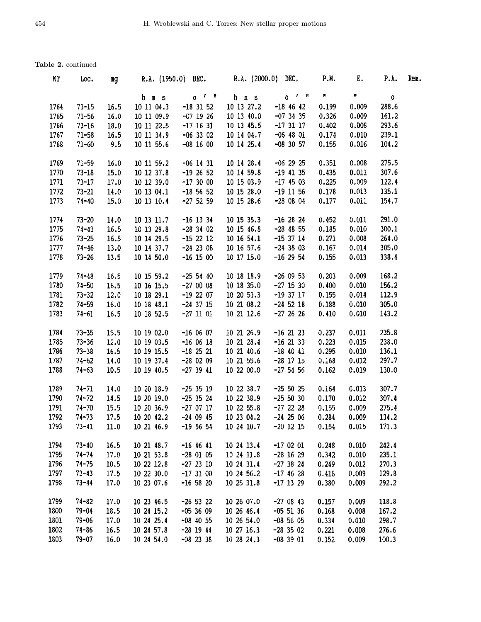| WТ   | Loc.      | ng   |                      |                     | R.A. (1950.0) DEC. R.A. (2000.0) DEC. |               | <b>P.M.</b>    | Ε.        | P.A.        | Rem. |
|------|-----------|------|----------------------|---------------------|---------------------------------------|---------------|----------------|-----------|-------------|------|
|      |           |      | h m s                | $0^{7}$ $^{\prime}$ | h m s                                 | $0$ $1$ $1$   | $\mathbf{H}^-$ | $\pmb{n}$ | $\mathbf 0$ |      |
| 1764 | $73 - 15$ | 16.5 | 10 11 04.3           | $-18$ 31 52         | 10 13 27.2                            | $-18$ 46 42   | 0.199          | 0.009     | 288.6       |      |
| 1765 | $71 - 56$ | 16.0 | 10 11 09.9           | $-07$ 19 26         | 10 13 40.0                            | $-07$ 34 35   | 0.326          | 0.009     | 161.2       |      |
| 1766 | $73 - 16$ | 18.0 | 10 11 22.5           | $-17$ 16 31         | 10 13 45.5                            | $-173117$     | 0.402          | 0.008     | 293.6       |      |
| 1767 | $71 - 58$ | 16.5 | 10 11 34.9           | $-06$ 33 02         | 10 14 04.7                            | $-06$ 48 01   | 0.174          | 0.010     | 239.1       |      |
| 1768 | $71 - 60$ | 9.5  | 10 11 55.6           | $-08$ 16 00         | 10 14 25.4                            | $-08$ 30 57   | 0.155          | 0.016     | 104.2       |      |
| 1769 | $71 - 59$ | 16.0 | 10 11 59.2           | $-06$ 14 31         | 10 14 28.4                            | $-06$ 29 25   | 0.351          | 0.008     | 275.5       |      |
| 1770 | $73 - 18$ | 15.0 | 10 12 37.8           | $-19$ 26 52         | 10 14 59.8                            | $-19$ 41 35   | 0.435          | 0.011     | 307.6       |      |
| 1771 | $73 - 17$ | 17.0 | 10 12 39.0           | $-17,30,00$         | 10 15 03.9                            | $-17$ 45 03   | 0.225          | 0.009     | 122.4       |      |
| 1772 | $73 - 21$ | 14.0 | 10 13 04.1           | $-18$ 56 52         | 10 15 28.0                            | $-19$ 11 56   | 0.178          | 0.013     | 135.1       |      |
| 1773 | $74 - 40$ | 15.0 | 10 13 10.4           | $-27$ 52 59         | 10 15 28.6                            | $-280804$     | 0.177          | 0.011     | 154.7       |      |
| 1774 | $73 - 20$ | 14.0 | 10 13 11.7           | $-16$ 13 34         | 10 15 35.3                            | $-16$ 28 24   | 0.452          | 0.011     | 291.0       |      |
| 1775 | $74 - 43$ | 16.5 | 10 13 29.8           | $-28$ 34 02         | 10 15 46.8                            | $-28$ 48 55   | 0.185          | 0.010     | 300.1       |      |
| 1776 | $73 - 25$ | 16.5 | 10 14 29.5           | $-15$ 22 12         | 10 16 54.1                            | $-15$ 37 14   | 0.271          | 0.008     | 264.0       |      |
| 1777 | $74 - 46$ | 13.0 | 10 14 37.7           | $-24$ 23 08         | 10 16 57.6                            | $-24$ 38 03   | 0.167          | 0.014     | 305.0       |      |
| 1778 | $73 - 26$ | 13.5 | 10 14 50.0           | $-16$ 15 00         | 10 17 15.0                            | $-16$ 29 54   | 0.155          | 0.013     | 338.4       |      |
|      |           |      |                      |                     |                                       |               |                |           |             |      |
| 1779 | $74 - 48$ | 16.5 | 10 15 59.2           | $-25$ 54 40         | 10 18 18.9                            | $-260953$     | 0.203          | 0.009     | 168.2       |      |
| 1780 | $74 - 50$ | 16.5 | 10 16 15.5           | $-2700008$          | 10 18 35.0                            | $-27$ 15 30   | 0.400          | 0.010     | 156.2       |      |
| 1781 | $73 - 32$ | 12.0 | 10 18 29.1           | $-19$ 22 07         | 10 20 53.3                            | $-19$ 37 17   | 0.155          | 0.014     | 112.9       |      |
| 1782 | $74 - 59$ | 16.0 | 10 18 48.1           | $-24$ 37 15         | 10 21 08.2                            | $-24$ 52 18   | 0.188          | 0.010     | 305.0       |      |
| 1783 | $74 - 61$ | 16.5 | 10 18 52.5           | $-27$ 11 01         | 10 21 12.6                            | $-27, 26, 26$ | 0.410          | 0.010     | 143.2       |      |
| 1784 | $73 - 35$ | 15.5 | 10 19 02.0           | $-160607$           | 10 21 26.9                            | $-16$ 21 23   | 0.237          | 0.011     | 235.8       |      |
| 1785 | $73 - 36$ | 12.0 | 10 19 03.5           | $-160618$           | 10 21 28.4                            | $-16$ 21 33   | 0.223          | 0.015     | 238.0       |      |
| 1786 | $73 - 38$ | 16.5 | 10 19 15.5           | $-18$ 25 21         | 10 21 40.6                            | $-18$ 40 41   | 0.295          | 0.010     | 136.1       |      |
| 1787 | $74 - 62$ | 14.0 | 10 19 37.4           | $-280209$           | 10 21 55.6                            | $-28$ 17 15   | 0.168          | 0.012     | 297.7       |      |
| 1788 | $74 - 63$ | 10.5 | 10 19 40.5           | $-27$ 39 41         | 10 22 00.0                            | $-27$ 54 56   | 0.162          | 0.019     | 130.0       |      |
| 1789 | $74 - 71$ | 14.0 | 10 20 18.9           | $-25$ 35 19         | 10 22 38.7                            | $-25$ 50 $25$ | 0.164          | 0.013     | 307.7       |      |
| 1790 | $74 - 72$ | 14.5 | 10 20 19.0           | $-25$ 35 24         | 10 22 38.9                            | $-25, 50, 30$ | 0.170          | 0.012     | 307.4       |      |
| 1791 | $74 - 70$ | 15.5 | 10 20 36.9           | $-270717$           | 10 22 55.8                            | $-27$ 22 28   | 0.155          | 0.009     | 275.4       |      |
| 1792 | $74 - 73$ | 17.5 | 10 20 42.2           | $-24$ 09 45         | 10 23 04.2                            | $-24$ 25 06   | 0.284          | 0.009     | 134.2       |      |
| 1793 | $73 - 41$ | 11.0 | 10 21 46.9 -19 56 54 |                     | 10 24 10.7                            | $-20$ 12 15   | 0.154          | 0.015     | 171.3       |      |
| 1794 | $73 - 40$ | 16.5 | 10 21 48.7           | $-16$ 46 41         | 10 24 13.4                            | $-170201$     | 0.248          | 0.010     | 242.4       |      |
| 1795 | $74 - 74$ | 17.0 | 10 21 53.8           | $-28$ 01 05         | 10 24 11.8                            | $-28$ 16 29   | 0.342          | 0.010     | 235.1       |      |
| 1796 | $74 - 75$ | 10.5 | 10 22 12.8           | $-27$ 23 10         | 10 24 31.4                            | $-27$ 38 24   | 0.249          | 0.012     | 270.3       |      |
| 1797 | $73 - 43$ | 17.5 | 10 22 30.0           | $-173100$           | 10 24 56.2                            | $-17$ 46 28   | 0.418          | 0.009     | 129.8       |      |
| 1798 | $73 - 44$ | 17.0 | 10 23 07.6           | $-16$ 58 20         | 10 25 31.8                            | $-17$ 13 29   | 0.380          | 0.009     | 292.2       |      |
| 1799 | $74 - 82$ | 17.0 | 10 23 46.5           | $-26$ 53 22         | 10 26 07.0                            | $-270843$     | 0.157          | 0.009     | 118.8       |      |
| 1800 | $79 - 04$ | 18.5 | 10 24 15.2           | $-053609$           | 10 26 46.4                            | $-05$ 51 36   | 0,168          | 0.008     | 167.2       |      |
| 1801 | $79 - 06$ | 17.0 | 10 24 25.4           | $-08$ 40 55         | 10 26 54.0                            | $-08$ 56 05   | 0.334          | 0.010     | 298.7       |      |
| 1802 | $74 - 86$ | 16.5 | 10 24 57.8           | $-28$ 19 44         | 10 27 16.3                            | $-28$ 35 02   | 0.221          | 0.008     | 276.6       |      |
| 1803 | $79 - 07$ | 16.0 | 10 24 54.0           | $-08$ 23 38         | 10 28 24.3                            | $-08$ 39 01   | 0.152          | 0.009     | 100.3       |      |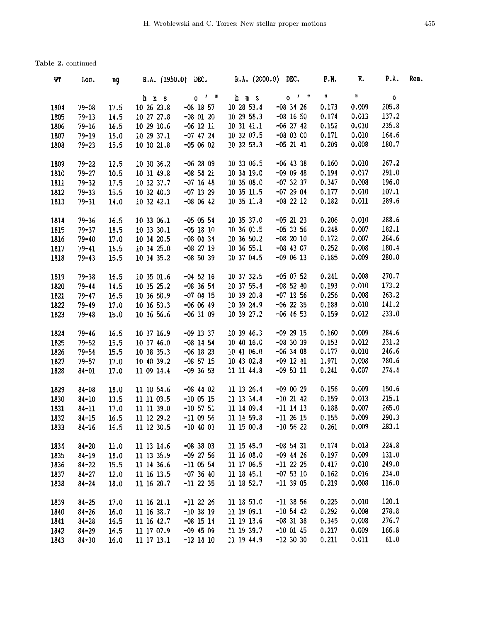| WI   | Loc.      | mg   | R.A. $(1950.0)$ DEC. |                       | R.A. (2000.0) DEC. |             | <b>P.M.</b> | Е.    | P.A.        | Rem. |
|------|-----------|------|----------------------|-----------------------|--------------------|-------------|-------------|-------|-------------|------|
|      |           |      | h m s                | $0^{-1}$ = $\sqrt{ }$ | h m s              | $0^{f-h}$   | n           | n     | $\mathbf 0$ |      |
| 1804 | $79 - 08$ | 17.5 | 10 26 23.8           | $-08$ 18 57           | 10 28 53.4         | $-08$ 34 26 | 0.173       | 0.009 | 205.8       |      |
| 1805 | $79 - 13$ | 14.5 | 10 27 27.8           | $-08$ 01 20           | 10 29 58.3         | $-08$ 16 50 | 0.174       | 0.013 | 137.2       |      |
| 1806 | $79 - 16$ | 16.5 | 10 29 10.6           | $-06$ 12 11           | 10 31 41.1         | $-06$ 27 42 | 0.152       | 0.010 | 235.8       |      |
| 1807 | $79 - 19$ | 15.0 | 10 29 37.1           | $-07$ 47 24           | 10 32 07.5         | $-08$ 03 00 | 0.171       | 0.010 | 164.6       |      |
| 1808 | $79 - 23$ | 15.5 | 10 30 21.8           | $-050602$             | 10 32 53.3         | $-05$ 21 41 | 0.209       | 0.008 | 180.7       |      |
| 1809 | $79 - 22$ | 12.5 | 10 30 36.2           | $-062809$             | 10 33 06.5         | $-06$ 43 38 | 0.160       | 0.010 | 267.2       |      |
| 1810 | $79 - 27$ | 10.5 | 10 31 49.8           | $-08$ 54 21           | 10 34 19.0         | $-09$ 09 48 | 0.194       | 0.017 | 291.0       |      |
| 1811 | $79 - 32$ | 17.5 | 10 32 37.7           | $-07$ 16 48           | 10 35 08.0         | $-07$ 32 37 | 0.347       | 0.008 | 196.0       |      |
| 1812 | $79 - 33$ | 15.5 | 10 32 40.3           | $-07$ 13 29           | 10 35 11.5         | $-072904$   | 0.177       | 0.010 | 107.1       |      |
| 1813 | $79 - 31$ | 14.0 | 10 32 42.1           | $-080642$             | 10 35 11.8         | $-08$ 22 12 | 0.182       | 0.011 | 289.6       |      |
| 1814 | $79 - 36$ | 16.5 | 10 33 06.1           | $-05$ 05 54           | 10 35 37.0         | $-05$ 21 23 | 0.206       | 0.010 | 288.6       |      |
| 1815 | $79 - 37$ | 18.5 | 10 33 30.1           | $-05$ 18 10           | 10 36 01.5         | $-05$ 33 56 | 0.248       | 0.007 | 182.1       |      |
| 1816 | $79 - 40$ | 17.0 | 10 34 20.5           | $-08$ 04 34           | 10 36 50.2         | $-08$ 20 10 | 0.172       | 0.007 | 264.6       |      |
| 1817 | $79 - 41$ | 16.5 | 10 34 25.0           | $-08$ 27 19           | 10 36 55.1         | $-08$ 43 07 | 0.252       | 0.008 | 180.4       |      |
| 1818 | $79 - 43$ | 15.5 | 10 34 35.2           | $-08$ 50 39           | 10 37 04.5         | $-090613$   | 0.185       | 0.009 | 280.0       |      |
| 1819 | $79 - 38$ | 16.5 | 10 35 01.6           | $-04$ 52 16           | 10 37 32.5         | $-05$ 07 52 | 0.241       | 0.008 | 270.7       |      |
| 1820 | $79 - 44$ | 14.5 | 10 35 25.2           | $-08$ 36 54           | 10 37 55.4         | $-08$ 52 40 | 0.193       | 0.010 | 173.2       |      |
| 1821 | $79 - 47$ | 16.5 | 10 36 50.9           | $-070415$             | 10 39 20.8         | $-07$ 19 56 | 0.256       | 0.008 | 263.2       |      |
| 1822 | $79 - 49$ | 17.0 | 10 36 53.3           | $-060649$             | 10 39 24.9         | $-06$ 22 35 | 0.188       | 0.010 | 141.2       |      |
| 1823 | $79 - 48$ | 15.0 | 10 36 56.6           | $-06$ 31 09           | 10 39 27.2         | $-06$ 46 53 | 0.159       | 0.012 | 233.0       |      |
| 1824 | $79 - 46$ | 16.5 | 10 37 16.9           | $-09$ 13 37           | 10 39 46.3         | $-09$ 29 15 | 0.160       | 0.009 | 284.6       |      |
| 1825 | $79 - 52$ | 15.5 | 10 37 46.0           | $-08$ 14 54           | 10 40 16.0         | $-08$ 30 39 | 0.153       | 0.012 | 231.2       |      |
| 1826 | $79 - 54$ | 15.5 | 10 38 35.3           | $-06$ 18 23           | 10 41 06.0         | $-06$ 34 08 | 0.177       | 0.010 | 246.6       |      |
| 1827 | $79 - 57$ | 17.0 | 10 40 39.2           | $-08$ 57 15           | 10 43 02.8         | $-09$ 12 41 | 1.971       | 0.008 | 280.6       |      |
| 1828 | $84 - 01$ | 17.0 | 11 09 14.4           | $-09$ 36 53           | 11 11 44.8         | $-09$ 53 11 | 0.241       | 0.007 | 274.4       |      |
| 1829 | $84 - 08$ | 18.0 | 11 10 54.6           | $-08$ 44 02           | 11 13 26.4         | $-090029$   | 0.156       | 0.009 | 150,6       |      |
| 1830 | $84 - 10$ | 13.5 | 11 11 03.5           | $-100515$             | 11 13 34.4         | $-10$ 21 42 | 0.159       | 0.013 | 215.1       |      |
| 1831 | $84 - 11$ | 17.0 | 11 11 39.0           | $-10$ 57 51           | 11 14 09.4         | $-11$ 14 13 | 0.188       | 0.007 | 265.0       |      |
| 1832 | $84 - 15$ | 16.5 | 11 12 29.2           | $-110956$             | 11 14 59.8         | $-112615$   | 0.155       | 0.009 | 290.3       |      |
| 1833 | $84 - 16$ | 16.5 | 11 12 30.5           | $-10$ 40 03           | 11 15 00.8         | $-10$ 56 22 | 0.261       | 0.009 | 283.1       |      |
| 1834 | $84 - 20$ | 11.0 | 11 13 14.6           | $-08$ 38 03           | 11 15 45.9         | $-08$ 54 31 | 0.174       | 0.018 | 224.8       |      |
| 1835 | $84 - 19$ | 18.0 | 11 13 35.9           | $-09$ 27 56           | 11 16 08.0         | $-09$ 44 26 | 0.197       | 0.009 | 131.0       |      |
| 1836 | $84 - 22$ | 15.5 | 11 14 36.6           | $-11$ 05 54           | 11 17 06.5         | $-11$ 22 25 | 0.417       | 0.010 | 249.0       |      |
| 1837 | $84 - 27$ | 12.0 | 11 16 13.5           | $-073640$             | 11 18 45.1         | $-07$ 53 10 | 0.162       | 0.016 | 234.0       |      |
| 1838 | $84 - 24$ | 18.0 | 11 16 20.7           | $-11$ 22 35           | 11 18 52.7         | $-11$ 39 05 | 0.219       | 0.008 | 116.0       |      |
| 1839 | $84 - 25$ | 17.0 | 11 16 21.1           | $-11$ 22 26           | 11 18 53.0         | $-11$ 38 56 | 0.225       | 0.010 | 120.1       |      |
| 1840 | $84 - 26$ | 16.0 | 11 16 38.7           | $-10$ 38 19           | 11 19 09.1         | $-10$ 54 42 | 0.292       | 0.008 | 278.8       |      |
| 1841 | $84 - 28$ | 16.5 | 11 16 42.7           | $-08$ 15 14           | 11 19 13.6         | $-08$ 31 38 | 0.345       | 0.008 | 276.7       |      |
| 1842 | $84 - 29$ | 16.5 | 11 17 07.9           | $-09$ 45 09           | 11 19 39.7         | $-10$ 01 45 | 0.217       | 0.009 | 166.8       |      |
| 1843 | $84 - 30$ | 16.0 | 11 17 13.1           | $-12$ 14 10           | 11 19 44.9         | $-12$ 30 30 | 0.211       | 0.011 | 61.0        |      |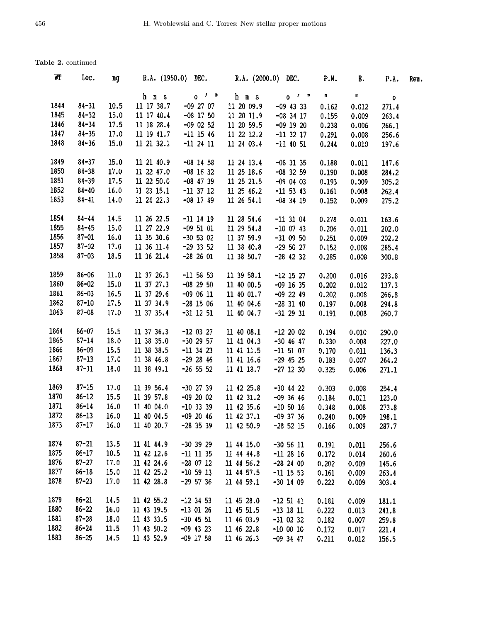| WT   | Loc.      | mg   |            | R.A. (1950.0) DEC. R.A. (2000.0) DEC. |            |             | P.M.  | Ε.    | P.A.        | Rem. |
|------|-----------|------|------------|---------------------------------------|------------|-------------|-------|-------|-------------|------|
|      |           |      | h m s      | $0^{f}$ $^{h}$                        | h m s      | $0^{7}$     | Ħ.    | m     | $\mathbf o$ |      |
| 1844 | $84 - 31$ | 10.5 | 11 17 38.7 | $-09$ 27 07                           | 11 20 09.9 | $-09$ 43 33 | 0.162 | 0.012 | 271.4       |      |
| 1845 | $84 - 32$ | 15.0 | 11 17 40.4 | $-08$ 17 50                           | 11 20 11.9 | $-08$ 34 17 | 0.155 | 0.009 | 263.4       |      |
| 1846 | $84 - 34$ | 17.5 | 11 18 28.4 | $-09$ 02 52                           | 11 20 59.5 | $-09$ 19 20 | 0.238 | 0.006 | 266.1       |      |
| 1847 | $84 - 35$ | 17.0 | 11 19 41.7 | $-11$ 15 46                           | 11 22 12.2 | $-11$ 32 17 | 0.291 | 0.008 | 256.6       |      |
| 1848 | $84 - 36$ | 15.0 | 11 21 32.1 | $-11$ 24 11                           | 11 24 03.4 | $-11$ 40 51 | 0.244 | 0.010 | 197.6       |      |
| 1849 | $84 - 37$ | 15.0 | 11 21 40.9 | $-08$ 14 58                           | 11 24 13.4 | $-08$ 31 35 | 0.188 | 0.011 | 147.6       |      |
| 1850 | $84 - 38$ | 17.0 | 11 22 47.0 | $-08$ 16 32                           | 11 25 18.6 | $-08$ 32 59 | 0.190 | 0.008 | 284.2       |      |
| 1851 | $84 - 39$ | 17.5 | 11 22 50.0 | $-08$ 47 39                           | 11 25 21.5 | $-09$ 04 03 | 0.193 | 0.009 | 305.2       |      |
| 1852 | $84 - 40$ | 16.0 | 11 23 15.1 | $-11$ 37 12                           | 11 25 46.2 | $-11$ 53 43 | 0.161 | 0.008 | 262.4       |      |
| 1853 | $84 - 41$ | 14.0 | 11 24 22.3 | $-08$ 17 49                           | 11 26 54.1 | $-08$ 34 19 | 0.152 | 0.009 | 275.2       |      |
| 1854 | $84 - 44$ | 14.5 | 11 26 22.5 | $-11$ 14 19                           | 11 28 54.6 | $-11$ 31 04 | 0.278 | 0.011 | 163.6       |      |
| 1855 | $84 - 45$ | 15.0 | 11 27 22.9 | $-095101$                             | 11 29 54.8 | $-10$ 07 43 | 0.206 | 0.011 | 202.0       |      |
| 1856 | $87 - 01$ | 16.0 | 11 35 30.6 | $-30$ 53 02                           | 11 37 59.9 | $-31$ 09 50 | 0.251 | 0.009 | 202.2       |      |
| 1857 | $87 - 02$ | 17.0 | 11 36 11.4 | $-29$ 33 52                           | 11 38 40.8 | $-29$ 50 27 | 0.152 | 0.008 | 285.4       |      |
| 1858 | $87 - 03$ | 18.5 | 11 36 21.4 | $-28, 26, 01$                         | 11 38 50.7 | $-28$ 42 32 | 0.285 | 0.008 | 300.8       |      |
| 1859 | $86 - 06$ | 11.0 | 11 37 26.3 | $-11$ 58 53                           | 11 39 58.1 | $-12$ 15 27 | 0.200 | 0.016 | 293.8       |      |
| 1860 | $86 - 02$ | 15.0 | 11 37 27.3 | $-08$ 29 50                           | 11 40 00.5 | $-09$ 16 35 | 0.202 | 0.012 | 137.3       |      |
| 1861 | $86 - 03$ | 16.5 | 11 37 29.6 | $-090611$                             | 11 40 01.7 | $-09$ 22 49 | 0.202 | 0.008 | 266.8       |      |
| 1862 | $87 - 10$ | 17.5 | 11 37 34.9 | $-28$ 15 06                           | 11 40 04.6 | $-28$ 31 40 | 0.197 | 0.008 | 294.8       |      |
| 1863 | $87 - 08$ | 17.0 | 11 37 35.4 | $-31$ 12 51                           | 11 40 04.7 | $-31$ 29 31 | 0.191 | 0.008 | 260.7       |      |
| 1864 | $86 - 07$ | 15.5 | 11 37 36.3 | $-12$ 03 27                           | 11 40 08.1 | $-122002$   | 0.194 | 0.010 | 290.0       |      |
| 1865 | $87 - 14$ | 18.0 | 11 38 35.0 | $-30$ 29 57                           | 11 41 04.3 | $-30$ 46 47 | 0.330 | 0.008 | 227.0       |      |
| 1866 | $86 - 09$ | 15.5 | 11 38 38.5 | $-11$ 34 23                           | 11 41 11.5 | $-11$ 51 07 | 0.170 | 0.011 | 136.3       |      |
| 1867 | $87 - 13$ | 17.0 | 11 38 46.8 | $-29$ 28 46                           | 11 41 16.6 | $-29$ 45 25 | 0.183 | 0.007 | 264.2       |      |
| 1868 | $87 - 11$ | 18.0 | 11 38 49.1 | $-26$ 55 52                           | 11 41 18.7 | $-27$ 12 30 | 0.325 | 0.006 | 271.1       |      |
| 1869 | $87 - 15$ | 17.0 | 11 39 56.4 | $-30$ 27 39                           | 11 42 25.8 | $-30$ 44 22 | 0.303 | 0.008 | 254.4       |      |
| 1870 | $86 - 12$ | 15.5 | 11 39 57.8 | $-09$ 20 02                           | 11 42 31.2 | $-09$ 36 46 | 0.184 | 0.011 | 123.0       |      |
| 1871 | $86 - 14$ | 16.0 | 11 40 04.0 | $-10$ 33 39                           | 11 42 35.6 | $-10$ 50 16 | 0.348 | 0.008 | 273.8       |      |
| 1872 | $86 - 13$ | 16.0 | 11 40 04.5 | $-09$ 20 46                           | 11 42 37.1 | $-09$ 37 36 | 0.240 | 0.009 | 198.1       |      |
| 1873 | $87 - 17$ | 16.0 | 11 40 20.7 | $-28$ 35 39                           | 11 42 50.9 | $-28$ 52 15 | 0.166 | 0.009 | 287.7       |      |
| 1874 | $87 - 21$ | 13.5 | 11 41 44.9 | $-30$ 39 29                           | 11 44 15.0 | $-30$ 56 11 | 0.191 | 0.011 | 256.6       |      |
| 1875 | $86 - 17$ | 10.5 | 11 42 12.6 | $-11$ 11 35                           | 11 44 44.8 | $-11$ 28 16 | 0.172 | 0.014 | 260.6       |      |
| 1876 | $87 - 27$ | 17.0 | 11 42 24.6 | $-28$ 07 12                           | 11 44 56.2 | $-28$ 24 00 | 0.202 | 0.009 | 145.6       |      |
| 1877 | $86 - 18$ | 15.0 | 11 42 25.2 | $-10$ 59 13                           | 11 44 57.5 | $-11$ 15 53 | 0.161 | 0.009 | 263.4       |      |
| 1878 | $87 - 23$ | 17.0 | 11 42 28.8 | $-29$ 57 36                           | 11 44 59.1 | $-30$ 14 09 | 0.222 | 0.009 | 303.4       |      |
| 1879 | $86 - 21$ | 14.5 | 11 42 55.2 | $-12$ 34 53                           | 11 45 28.0 | $-125141$   | 0.181 | 0.009 | 181.1       |      |
| 1880 | $86 - 22$ | 16.0 | 11 43 19.5 | $-13$ 01 26                           | 11 45 51.5 | $-13$ 18 11 | 0.222 | 0.013 | 241.8       |      |
| 1881 | $87 - 28$ | 18.0 | 11 43 33.5 | $-30$ 45 51                           | 11 46 03.9 | $-31$ 02 32 | 0.182 | 0.007 | 259.8       |      |
| 1882 | $86 - 24$ | 11.5 | 11 43 50.2 | $-09$ 43 23                           | 11 46 22.8 | $-100010$   | 0.172 | 0.017 | 221.4       |      |
| 1883 | $86 - 25$ | 14.5 | 11 43 52.9 | $-09$ 17 58                           | 11 46 26.3 | $-09$ 34 47 | 0.211 | 0.012 | 156.5       |      |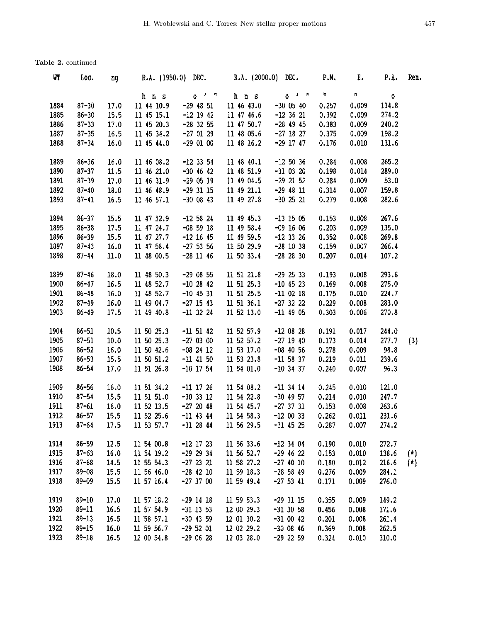| WТ   | Loc.      | mg   | R.A. $(1950.0)$ DEC. |               | R.A. $(2000.0)$ DEC. |               | P.M.  | Γ.    | P.A.  | Rem.  |
|------|-----------|------|----------------------|---------------|----------------------|---------------|-------|-------|-------|-------|
|      |           |      | h m s                | $0$ $1$ $\pi$ | h m s                | $0$ $1$ $1$   | N     | Ħ.    | 0     |       |
| 1884 | $87 - 30$ | 17.0 | 11 44 10.9           | $-29$ 48 51   | 11 46 43.0           | $-30$ 05 40   | 0.257 | 0.009 | 134.8 |       |
| 1885 | $86 - 30$ | 15.5 | 11 45 15.1           | $-12$ 19 42   | 11 47 46.6           | $-12$ 36 21   | 0.392 | 0.009 | 274.2 |       |
| 1886 | $87 - 33$ | 17.0 | 11 45 20.3           | $-28$ 32 55   | 11 47 50.7           | $-28$ 49 45   | 0.383 | 0.009 | 240.2 |       |
| 1887 | $87 - 35$ | 16.5 | 11 45 34.2           | $-27$ 01 29   | 11 48 05.6           | $-27$ 18 27   | 0.375 | 0.009 | 198.2 |       |
| 1888 | $87 - 34$ | 16.0 | 11 45 44.0           | $-290100$     | 11 48 16.2           | $-29$ 17 47   | 0.176 | 0.010 | 131.6 |       |
| 1889 | $86 - 36$ | 16.0 | 11 46 08.2           | $-12$ 33 54   | 11 48 40.1           | $-12, 50, 36$ | 0.284 | 0.008 | 265.2 |       |
| 1890 | $87 - 37$ | 11.5 | 11 46 21.0           | $-30$ 46 42   | 11 48 51.9           | $-31$ 03 20   | 0.198 | 0.014 | 289.0 |       |
| 1891 | $87 - 39$ | 17.0 | 11 46 31.9           | $-290519$     | 11 49 04.5           | $-29$ 21 52   | 0.284 | 0.009 | 53.0  |       |
| 1892 | $87 - 40$ | 18.0 | 11 46 48.9           | $-29$ 31 15   | 11 49 21.1           | $-29$ 48 11   | 0.314 | 0.007 | 159.8 |       |
| 1893 | $87 - 41$ | 16.5 | 11 46 57.1           | $-30$ 08 43   | 11 49 27.8           | $-30$ 25 21   | 0.279 | 0.008 | 282.6 |       |
| 1894 | $86 - 37$ | 15.5 | 11 47 12.9           | $-12$ 58 24   | 11 49 45.3           | $-13$ 15 05   | 0.153 | 0.008 | 267.6 |       |
| 1895 | $86 - 38$ | 17.5 | 11 47 24.7           | $-08$ 59 18   | 11 49 58.4           | $-09$ 16 06   | 0.203 | 0.009 | 135.0 |       |
| 1896 | $86 - 39$ | 15.5 | 11 47 27.7           | $-12$ 16 45   | 11 49 59.5           | $-12$ 33 26   | 0.352 | 0.008 | 269.8 |       |
| 1897 | $87 - 43$ | 16.0 | 11 47 58.4           | $-27$ 53 56   | 11 50 29.9           | $-28$ 10 38   | 0.159 | 0.007 | 266.4 |       |
| 1898 | $87 - 44$ | 11.0 | 11 48 00.5           | $-28$ 11 46   | 11 50 33.4           | $-28$ 28 30   | 0.207 | 0.014 | 107.2 |       |
| 1899 | $87 - 46$ | 18.0 | 11 48 50.3           | $-29$ 08 55   | 11 51 21.8           | $-29$ 25 33   | 0.193 | 0.008 | 293.6 |       |
| 1900 | $86 - 47$ | 16.5 | 11 48 52.7           | $-10$ 28 42   | 11 51 25.3           | $-10$ 45 23   | 0.169 | 0.008 | 275.0 |       |
| 1901 | $86 - 48$ | 16.0 | 11 48 52.7           | $-10$ 45 31   | 11 51 25.5           | $-11$ 02 18   | 0.175 | 0.010 | 224.7 |       |
| 1902 | $87 - 49$ | 16.0 | 11 49 04.7           | $-27$ 15 43   | 11 51 36.1           | $-27$ 32 22   | 0.229 | 0.008 | 283.0 |       |
| 1903 | $86 - 49$ | 17.5 | 11 49 40.8           | $-11$ 32 24   | 11 52 13.0           | $-11$ 49 05   | 0.303 | 0.006 | 270.8 |       |
| 1904 | $86 - 51$ | 10.5 | 11 50 25.3           | $-11$ 51 42   | 11 52 57.9           | $-120828$     | 0.191 | 0.017 | 244.0 |       |
| 1905 | $87 - 51$ | 10.0 | 11 50 25.3           | $-270300$     | 11 52 57.2           | $-27$ 19 40   | 0.173 | 0.014 | 277.7 | (3)   |
| 1906 | $86 - 52$ | 16.0 | 11 50 42.6           | $-08$ 24 12   | 11 53 17.0           | $-08$ 40 56   | 0.278 | 0.009 | 98.8  |       |
| 1907 | $86 - 53$ | 15.5 | 11 50 51.2           | $-11$ 41 50   | 11 53 23.8           | $-11$ 58 37   | 0.219 | 0.011 | 239.6 |       |
| 1908 | $86 - 54$ | 17.0 | 11 51 26.8           | $-10$ 17 54   | 11 54 01.0           | $-10$ 34 37   | 0.240 | 0.007 | 96.3  |       |
| 1909 | $86 - 56$ | 16.0 | 11 51 34.2           | $-11$ 17 26   | 11 54 08.2           | $-11$ 34 14   | 0.245 | 0.010 | 121.0 |       |
| 1910 | $87 - 54$ | 15.5 | 11 51 51.0           | $-30$ 33 12   | 11 54 22.8           | $-30$ 49 57   | 0.214 | 0.010 | 247.7 |       |
| 1911 | $87 - 61$ | 16.0 | 11 52 13.5           | $-27$ 20 48   | 11 54 45.7           | $-27$ 37 31   | 0.153 | 0.008 | 263.6 |       |
| 1912 | $86 - 57$ | 15.5 | 11 52 25.6           | $-11$ 43 44   | 11 54 58.3           | $-12$ 00 33   | 0.262 | 0.011 | 231.6 |       |
| 1913 | $87 - 64$ | 17.5 | 11 53 57.7           | $-31$ 28 44   | 11 56 29.5           | $-31$ 45 25   | 0.287 | 0.007 | 274.2 |       |
| 1914 | $86 - 59$ | 12.5 | 11 54 00.8           | $-12$ 17 23   | 11 56 33.6           | $-12$ 34 04   | 0.190 | 0.010 | 272.7 |       |
| 1915 | $87 - 63$ | 16.0 | 11 54 19.2           | $-29$ 29 34   | 11 56 52.7           | $-29$ 46 22   | 0.153 | 0.010 | 138.6 | $(+)$ |
| 1916 | $87 - 68$ | 14.5 | 11 55 54.3           | $-27$ 23 21   | 11 58 27.2           | $-27$ 40 10   | 0.180 | 0.012 | 216.6 | (x)   |
| 1917 | $89 - 08$ | 15.5 | 11 56 46.0           | $-28$ 42 10   | 11 59 18.3           | $-28$ 58 49   | 0.276 | 0.009 | 284.1 |       |
| 1918 | $89 - 09$ | 15.5 | 11 57 16.4           | $-27$ 37 00   | 11 59 49.4           | $-27$ 53 41   | 0.171 | 0.009 | 276.0 |       |
| 1919 | $89 - 10$ | 17.0 | 11 57 18.2           | $-29$ 14 18   | 11 59 53.3           | $-29$ 31 15   | 0.355 | 0.009 | 149.2 |       |
| 1920 | $89 - 11$ | 16.5 | 11 57 54.9           | $-31$ 13 53   | 12 00 29.3           | $-31$ 30 58   | 0.456 | 0.008 | 171.6 |       |
| 1921 | $89 - 13$ | 16.5 | 11 58 57.1           | $-30$ 43 59   | 12 01 30.2           | $-31$ 00 42   | 0.201 | 0.008 | 261.4 |       |
| 1922 | $89 - 15$ | 16.0 | 11 59 56.7           | $-29$ 52 01   | 12 02 29.2           | $-3000846$    | 0.369 | 0.008 | 262.5 |       |
| 1923 | $89 - 18$ | 16.5 | 12 00 54.8           | $-290628$     | 12 03 28.0           | $-29$ 22 59   | 0.324 | 0.010 | 310.0 |       |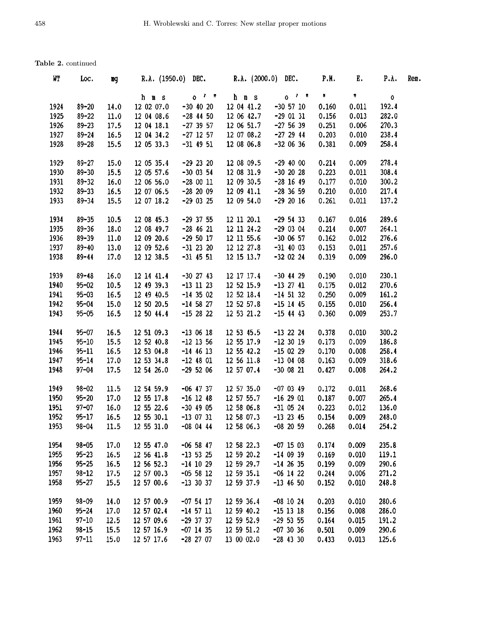| WТ   | Loc.      | щq   |            |                     | R.A. (1950.0) DEC. R.A. (2000.0) DEC. |               | P.M.      | Ε.        | P.A.  | Rem. |
|------|-----------|------|------------|---------------------|---------------------------------------|---------------|-----------|-----------|-------|------|
|      |           |      | h m s      | $0^{-1}$ $^{\circ}$ | h m s                                 | $0$ $1$ $\pi$ | $\pmb{n}$ | $\pmb{n}$ | ٥     |      |
| 1924 | $89 - 20$ | 14.0 | 12 02 07.0 | $-30$ 40 20         | 12 04 41.2                            | $-30$ 57 10   | 0.160     | 0.011     | 192.4 |      |
| 1925 | $89 - 22$ | 11.0 | 12 04 08.6 | $-28$ 44 50         | 12 06 42.7                            | $-290131$     | 0.156     | 0.013     | 282.0 |      |
| 1926 | $89 - 23$ | 17.5 | 12 04 18.1 | $-27$ 39 57         | 12 06 51.7                            | $-275639$     | 0.251     | 0.006     | 270.3 |      |
| 1927 | $89 - 24$ | 16.5 | 12 04 34.2 | $-27$ 12 57         | 12 07 08.2                            | $-27$ 29 44   | 0.203     | 0.010     | 238.4 |      |
| 1928 | $89 - 28$ | 15.5 | 12 05 33.3 | $-31$ 49 51         | 12 08 06.8                            | $-320636$     | 0.381     | 0.009     | 258.4 |      |
| 1929 | $89 - 27$ | 15.0 | 12 05 35.4 | $-29$ 23 20         | 12 08 09.5                            | $-29$ 40 00   | 0.214     | 0.009     | 278.4 |      |
| 1930 | $89 - 30$ | 15.5 | 12 05 57.6 | $-30$ 03 54         | 12 08 31.9                            | $-30$ 20 28   | 0.223     | 0.011     | 308.4 |      |
| 1931 | $89 - 32$ | 16.0 | 12 06 56.0 | $-280011$           | 12 09 30.5                            | $-28$ 16 49   | 0.177     | 0.010     | 300.2 |      |
| 1932 | $89 - 33$ | 16.5 | 12 07 06.5 | $-282009$           | 12 09 41.1                            | $-28, 36, 59$ | 0.210     | 0.010     | 217.4 |      |
| 1933 | $89 - 34$ | 15.5 | 12 07 18.2 | $-29$ 03 25         | 12 09 54.0                            | $-29$ 20 16   | 0.261     | 0.011     | 137.2 |      |
| 1934 | $89 - 35$ | 10.5 | 12 08 45.3 | $-29$ 37 55         | 12 11 20.1                            | $-295433$     | 0.167     | 0.016     | 289.6 |      |
| 1935 | $89 - 36$ | 18.0 | 12 08 49.7 | $-28$ 46 21         | 12 11 24.2                            | $-290304$     | 0.214     | 0.007     | 264.1 |      |
| 1936 | $89 - 39$ | 11.0 | 12 09 20.6 | $-29$ 50 17         | 12 11 55.6                            | $-300657$     | 0.162     | 0.012     | 276.6 |      |
| 1937 | $89 - 40$ | 13.0 | 12 09 52.6 | $-31$ 23 20         | 12 12 27.8                            | $-31$ 40 03   | 0.153     | 0.011     | 257.6 |      |
| 1938 | $89 - 44$ | 17.0 | 12 12 38.5 | $-31$ 45 51         | 12 15 13.7                            | $-32$ 02 24   | 0.319     | 0.009     | 296.0 |      |
| 1939 | $89 - 48$ | 16.0 | 12 14 41.4 | $-30$ 27 43         | 12 17 17.4                            | $-30$ 44 29   | 0.190     | 0.010     | 230.1 |      |
| 1940 | $95 - 02$ | 10.5 | 12 49 39.3 | $-13$ 11 23         | 12 52 15.9                            | $-13$ 27 41   | 0.175     | 0.012     | 270.6 |      |
| 1941 | $95 - 03$ | 16.5 | 12 49 40.5 | $-14$ 35 02         | 12 52 18.4                            | $-14$ 51 32   | 0.250     | 0.009     | 161.2 |      |
| 1942 | $95 - 04$ | 15.0 | 12 50 20.5 | $-14$ 58 27         | 12 52 57.8                            | $-15$ 14 45   | 0.155     | 0.010     | 256.4 |      |
| 1943 | $95 - 05$ | 16.5 | 12 50 44.4 | $-152822$           | 12 53 21.2                            | $-15$ 44 43   | 0.360     | 0.009     | 253.7 |      |
| 1944 | $95 - 07$ | 16.5 | 12 51 09.3 | $-130618$           | 12 53 45.5                            | $-13$ 22 24   | 0.378     | 0.010     | 300.2 |      |
| 1945 | $95 - 10$ | 15.5 | 12 52 40.8 | $-12$ 13 56         | 12 55 17.9                            | $-12$ 30 19   | 0.173     | 0.009     | 186.8 |      |
| 1946 | $95 - 11$ | 16.5 | 12 53 04.8 | $-14$ 46 13         | 12 55 42.2                            | $-15$ 02 29   | 0.170     | 0.008     | 258.4 |      |
| 1947 | $95 - 14$ | 17.0 | 12 53 34.8 | $-12$ 48 01         | 12 56 11.8                            | $-130408$     | 0.163     | 0.009     | 318.6 |      |
| 1948 | $97 - 04$ | 17.5 | 12 54 26.0 | $-295206$           | 12 57 07.4                            | $-30$ 08 21   | 0.427     | 0.008     | 264.2 |      |
| 1949 | $98 - 02$ | 11.5 | 12 54 59.9 | $-06$ 47 37         | 12 57 35.0                            | $-07$ 03 49   | 0.172     | 0.011     | 268.6 |      |
| 1950 | $95 - 20$ | 17.0 | 12 55 17.8 | $-16$ 12 48         | 12 57 55.7                            | $-162901$     | 0.187     | 0.007     | 265.4 |      |
| 1951 | $97 - 07$ | 16.0 | 12 55 22.6 | $-30$ 49 05         | 12 58 06.8                            | $-31$ 05 24   | 0.223     | 0.012     | 136.0 |      |
| 1952 | $95 - 17$ | 16.5 | 12 55 30.1 | $-13$ 07 31         | 12 58 07.3                            | $-13$ 23 45   | 0.154     | 0.009     | 248.0 |      |
| 1953 | $98 - 04$ | 11.5 | 12 55 31.0 | $-080444$           | 12 58 06.3                            | $-08$ 20 59   | 0.268     | 0.014     | 254.2 |      |
| 1954 | $98 - 05$ | 17.0 | 12 55 47.0 | $-06$ 58 47         | 12 58 22.3                            | $-07$ 15 03   | 0.174     | 0.009     | 235.8 |      |
| 1955 | $95 - 23$ | 16.5 | 12 56 41.8 | $-13$ 53 25         | 12 59 20.2                            | $-140939$     | 0.169     | 0.010     | 119.1 |      |
| 1956 | $95 - 25$ | 16.5 | 12 56 52.3 | $-14$ 10 29         | 12 59 29.7                            | $-14$ 26 35   | 0.199     | 0.009     | 290.6 |      |
| 1957 | $98 - 12$ | 17.5 | 12 57 00.3 | $-05$ 58 12         | 12 59 35.1                            | $-06$ 14 22   | 0.244     | 0.006     | 271.2 |      |
| 1958 | $95 - 27$ | 15.5 | 12 57 00.6 | $-13$ 30 37         | 12 59 37.9                            | $-13$ 46 50   | 0.152     | 0.010     | 248.8 |      |
| 1959 | $98 - 09$ | 14.0 | 12 57 00.9 | $-07$ 54 17         | 12 59 36.4                            | $-08$ 10 24   | 0.203     | 0.010     | 280.6 |      |
| 1960 | $95 - 24$ | 17.0 | 12 57 02.4 | $-14$ 57 11         | 12 59 40.2                            | $-15$ 13 18   | 0.156     | 0.008     | 286.0 |      |
| 1961 | $97 - 10$ | 12.5 | 12 57 09.6 | $-29$ 37 37         | 12 59 52.9                            | $-29$ 53 55   | 0.164     | 0.015     | 191.2 |      |
| 1962 | $98 - 15$ | 15.5 | 12 57 16.9 | $-07$ 14 35         | 12 59 51.2                            | $-07$ 30 36   | 0.501     | 0.009     | 290.6 |      |
| 1963 | $97 - 11$ | 15.0 | 12 57 17.6 | $-28$ 27 07         | 13 00 02.0                            | $-28$ 43 30   | 0.433     | 0.013     | 125.6 |      |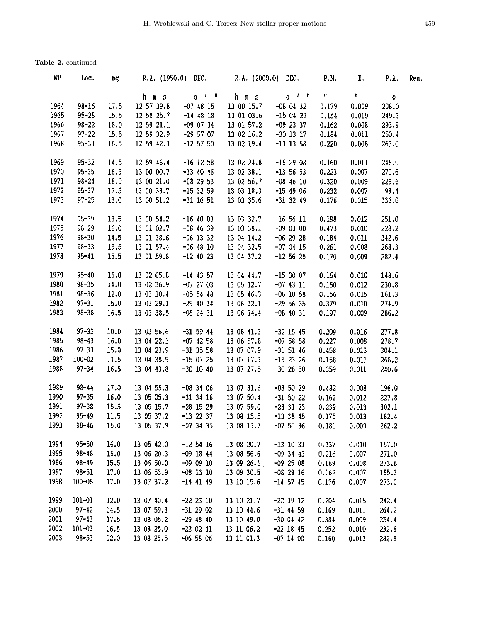| WГ   | Loc.       | mg   | R.A. (1950.0) DEC. R.A. (2000.0) DEC. |             |            |                | <b>P.M.</b> | $E_{\star}$ | P.A.  | Rem. |
|------|------------|------|---------------------------------------|-------------|------------|----------------|-------------|-------------|-------|------|
|      |            |      | h m s                                 | $0t$ $n$    | h m s      | $0^{1}$ $^{n}$ | $\pmb{\Pi}$ | Ħ.          | 0     |      |
| 1964 | $98 - 16$  | 17.5 | 12 57 39.8                            | $-07$ 48 15 | 13 00 15.7 | $-08$ 04 32    | 0.179       | 0.009       | 208.0 |      |
| 1965 | $95 - 28$  | 15.5 | 12 58 25.7                            | $-14$ 48 18 | 13 01 03.6 | $-150429$      | 0.154       | 0.010       | 249.3 |      |
| 1966 | $98 - 22$  | 18.0 | 12 59 21.1                            | $-09$ 07 34 | 13 01 57.2 | $-09$ 23 37    | 0.162       | 0.008       | 293.9 |      |
| 1967 | $97 - 22$  | 15.5 | 12 59 32.9                            | $-29$ 57 07 | 13 02 16.2 | $-30$ 13 17    | 0.184       | 0.011       | 250.4 |      |
| 1968 | $95 - 33$  | 16.5 | 12 59 42.3                            | $-12$ 57 50 | 13 02 19.4 | $-13$ 13 58    | 0.220       | 0.008       | 263.0 |      |
| 1969 | $95 - 32$  | 14.5 | 12 59 46.4                            | $-16$ 12 58 | 13 02 24.8 | $-162908$      | 0.160       | 0.011       | 248.0 |      |
| 1970 | $95 - 35$  | 16.5 | 13 00 00.7                            | $-13$ 40 46 | 13 02 38.1 | $-13$ 56 53    | 0.223       | 0.007       | 270.6 |      |
| 1971 | $98 - 24$  | 18.0 | 13 00 21.0                            | $-08$ 29 53 | 13 02 56.7 | $-08$ 46 10    | 0.320       | 0.009       | 229.6 |      |
| 1972 | $95 - 37$  | 17.5 | 13 00 38.7                            | $-15$ 32 59 | 13 03 18.3 | $-15$ 49 06    | 0.232       | 0.007       | 98.4  |      |
| 1973 | $97 - 25$  | 13.0 | 13 00 51.2                            | $-31$ 16 51 | 13 03 35.6 | $-31$ 32 49    | 0.176       | 0.015       | 336.0 |      |
| 1974 | $95 - 39$  | 13.5 | 13 00 54.2                            | $-16$ 40 03 | 13 03 32.7 | $-16$ 56 11    | 0.198       | 0.012       | 251.0 |      |
| 1975 | $98 - 29$  | 16.0 | 13 01 02.7                            | $-08$ 46 39 | 13 03 38.1 | $-09$ 03 00    | 0.473       | 0.010       | 228.2 |      |
| 1976 | $98 - 30$  | 14.5 | 13 01 38.6                            | $-06$ 13 32 | 13 04 14.2 | $-06$ 29 28    | 0.184       | 0.011       | 342.6 |      |
| 1977 | $98 - 33$  | 15.5 | 13 01 57.4                            | $-06$ 48 10 | 13 04 32.5 | $-070415$      | 0.261       | 0.008       | 268.3 |      |
| 1978 | $95 - 41$  | 15.5 | 13 01 59.8                            | $-12$ 40 23 | 13 04 37.2 | $-12$ 56 25    | 0.170       | 0.009       | 282.4 |      |
|      |            |      |                                       |             |            |                |             |             |       |      |
| 1979 | $95 - 40$  | 16.0 | 13 02 05.8                            | $-14$ 43 57 | 13 04 44.7 | $-150007$      | 0.164       | 0.010       | 148.6 |      |
| 1980 | $98 - 35$  | 14.0 | 13 02 36.9                            | $-07$ 27 03 | 13 05 12.7 | $-07$ 43 11    | 0.160       | 0.012       | 230.8 |      |
| 1981 | $98 - 36$  | 12.0 | 13 03 10.4                            | $-05$ 54 48 | 13 05 46.3 | $-06$ 10 58    | 0.156       | 0.015       | 161.3 |      |
| 1982 | $97 - 31$  | 15.0 | 13 03 29.1                            | $-29$ 40 34 | 13 06 12.1 | $-29$ 56 35    | 0.379       | 0.010       | 274.9 |      |
| 1983 | $98 - 38$  | 16.5 | 13 03 38.5                            | $-08$ 24 31 | 13 06 14.4 | $-08$ 40 31    | 0.197       | 0.009       | 286.2 |      |
| 1984 | $97 - 32$  | 10.0 | 13 03 56.6                            | $-31$ 59 44 | 13 06 41.3 | $-32$ 15 45    | 0.209       | 0.016       | 277.8 |      |
| 1985 | $98 - 43$  | 16.0 | 13 04 22.1                            | $-07$ 42 58 | 13 06 57.8 | $-07$ 58 58    | 0.227       | 0.008       | 278.7 |      |
| 1986 | $97 - 33$  | 15.0 | 13 04 23.9                            | $-31$ 35 58 | 13 07 07.9 | $-31$ 51 46    | 0.458       | 0.013       | 304.1 |      |
| 1987 | $100 - 02$ | 11.5 | 13 04 38.9                            | $-150725$   | 13 07 17.3 | $-15$ 23 26    | 0.158       | 0.011       | 268.2 |      |
| 1988 | $97 - 34$  | 16.5 | 13 04 43.8                            | $-30$ 10 40 | 13 07 27.5 | $-30$ 26 50    | 0.359       | 0.011       | 240.6 |      |
| 1989 | $98 - 44$  | 17.0 | 13 04 55.3                            | $-083406$   | 13 07 31.6 | $-08$ 50 29    | 0.482       | 0.008       | 196.0 |      |
| 1990 | $97 - 35$  | 16.0 | 13 05 05.3                            | $-31$ 34 16 | 13 07 50.4 | $-31$ 50 22    | 0.162       | 0.012       | 227.8 |      |
| 1991 | $97 - 38$  | 15.5 | 13 05 15.7                            | $-28$ 15 29 | 13 07 59.0 | $-28$ 31 23    | 0.239       | 0.013       | 302.1 |      |
| 1992 | $95 - 49$  | 11.5 | 13 05 37.2                            | $-13$ 22 37 | 13 08 15.5 | $-13$ 38 45    | 0.175       | 0.013       | 182.4 |      |
| 1993 | $98 - 46$  | 15.0 | 13 05 37.9                            | $-07$ 34 35 | 13 08 13.7 | $-075036$      | 0.181       | 0.009       | 262.2 |      |
| 1994 | $95 - 50$  | 16.0 | 13 05 42.0                            | $-12$ 54 16 | 13 08 20.7 | $-13$ 10 31    | 0.337       | 0.010       | 157.0 |      |
| 1995 | $98 - 48$  | 16.0 | 13 06 20.3                            | $-09$ 18 44 | 13 08 56.6 | $-09$ 34 43    | 0.216       | 0.007       | 271.0 |      |
| 1996 | $98 - 49$  | 15.5 | 13 06 50.0                            | $-090910$   | 13 09 26.4 | $-09$ 25 08    | 0.169       | 0.008       | 273.6 |      |
| 1997 | $98 - 51$  | 17.0 | 13 06 53.9                            | $-08$ 13 10 | 13 09 30.5 | $-082916$      | 0.162       | 0.007       | 185.3 |      |
| 1998 | $100 - 08$ | 17.0 | 13 07 37.2                            | $-14$ 41 49 | 13 10 15.6 | $-14$ 57 45    | 0.176       | 0.007       | 273.0 |      |
| 1999 | $101 - 01$ | 12.0 | 13 07 40.4                            | $-22$ 23 10 | 13 10 21.7 | $-22$ 39 12    | 0.204       | 0.015       | 242.4 |      |
| 2000 | $97 - 42$  | 14.5 | 13 07 59.3                            | $-31$ 29 02 | 13 10 44.6 | $-31$ 44 59    | 0.169       | 0.011       | 264.2 |      |
| 2001 | $97 - 43$  | 17.5 | 13 08 05.2                            | $-29$ 48 40 | 13 10 49.0 | $-30$ 04 42    | 0.384       | 0.009       | 254.4 |      |
| 2002 | $101 - 03$ | 16.5 | 13 08 25.0                            | $-220241$   | 13 11 06.2 | $-22$ 18 45    | 0.252       | 0.010       | 232.6 |      |
| 2003 | $98 - 53$  | 12.0 | 13 08 25.5                            | $-065806$   | 13 11 01.3 | $-07$ 14 00    | 0.160       | 0.013       | 282.8 |      |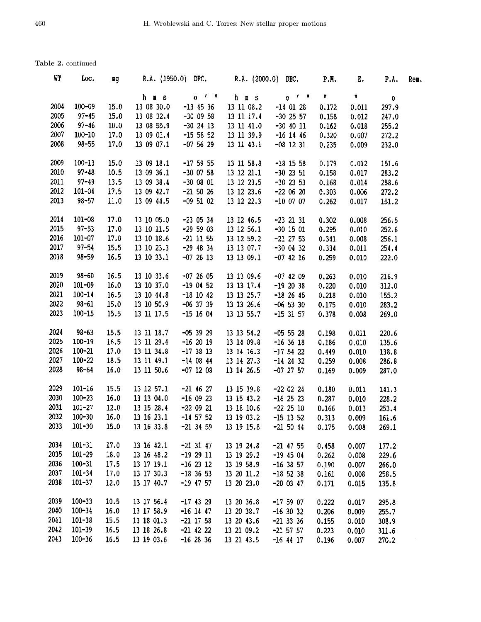| WT   | Loc.       | вg   |            | R.A. (1950.0) DEC. R.A. (2000.0) DEC. |            |                | P.H.  | Е.           | P.A.  | Rem. |
|------|------------|------|------------|---------------------------------------|------------|----------------|-------|--------------|-------|------|
|      |            |      | h m s      | $0$ $1$ $\pi$                         | h m s      | 0 <sup>t</sup> | Ħ     | $\mathbf{H}$ | 0     |      |
| 2004 | $100 - 09$ | 15.0 | 13 08 30.0 | $-13$ 45 36                           | 13 11 08.2 | $-14$ 01 28    | 0.172 | 0.011        | 297.9 |      |
| 2005 | $97 - 45$  | 15.0 | 13 08 32.4 | $-300958$                             | 13 11 17.4 | $-30$ 25 57    | 0.158 | 0.012        | 247.0 |      |
| 2006 | $97 - 46$  | 10.0 | 13 08 55.9 | $-30$ 24 13                           | 13 11 41.0 | $-30$ 40 11    | 0.162 | 0.018        | 255.2 |      |
| 2007 | $100 - 10$ | 17.0 | 13 09 01.4 | $-15$ 58 52                           | 13 11 39.9 | $-16$ 14 46    | 0.320 | 0.007        | 272.2 |      |
| 2008 | $98 - 55$  | 17.0 | 13 09 07.1 | $-075629$                             | 13 11 43.1 | $-08$ 12 31    | 0.235 | 0.009        | 232.0 |      |
| 2009 | $100 - 13$ | 15.0 | 13 09 18.1 | $-17$ 59 55                           | 13 11 58.8 | $-18$ 15 58    | 0.179 | 0.012        | 151.6 |      |
| 2010 | $97 - 48$  | 10.5 | 13 09 36.1 | $-30$ 07 58                           | 13 12 21.1 | $-30$ 23 51    | 0.158 | 0.017        | 283.2 |      |
| 2011 | $97 - 49$  | 13.5 | 13 09 38.4 | $-3000801$                            | 13 12 23.5 | $-30$ 23 53    | 0.168 | 0.014        | 288.6 |      |
| 2012 | $101 - 04$ | 17.5 | 13 09 42.7 | $-21$ 50 26                           | 13 12 23.6 | $-220620$      | 0.303 | 0.006        | 272.2 |      |
| 2013 | $98 - 57$  | 11.0 | 13 09 44.5 | $-09$ 51 02                           | 13 12 22.3 | $-10$ 07 07    | 0.262 | 0.017        | 151.2 |      |
| 2014 | $101 - 08$ | 17.0 | 13 10 05.0 | $-23$ 05 34                           | 13 12 46.5 | $-23$ 21 31    | 0.302 | 0.008        | 256.5 |      |
| 2015 | $97 - 53$  | 17.0 | 13 10 11.5 | $-29$ 59 03                           | 13 12 56.1 | $-30$ 15 01    | 0.295 | 0.010        | 252.6 |      |
| 2016 | $101 - 07$ | 17.0 | 13 10 18.6 | $-21$ 11 55                           | 13 12 59.2 | $-21$ 27 53    | 0.341 | 0.008        | 256.1 |      |
| 2017 | $97 - 54$  | 15.5 | 13 10 23.3 | $-29$ 48 34                           | 13 13 07.7 | $-30$ 04 32    | 0.334 | 0.011        | 254.4 |      |
| 2018 | $98 - 59$  | 16.5 | 13 10 33.1 | $-072613$                             | 13 13 09.1 | $-07$ 42 16    | 0.259 | 0.010        | 222.0 |      |
| 2019 | $98 - 60$  | 16.5 | 13 10 33.6 | $-072605$                             | 13 13 09.6 | $-07$ 42 09    | 0.263 | 0.010        | 216.9 |      |
| 2020 | $101 - 09$ | 16.0 | 13 10 37.0 | $-190452$                             | 13 13 17.4 | $-192038$      | 0.220 | 0.010        | 312.0 |      |
| 2021 | $100 - 14$ | 16.5 | 13 10 44.8 | $-18$ 10 42                           | 13 13 25.7 | $-18$ 26 45    | 0.218 | 0.010        | 155.2 |      |
| 2022 | $98 - 61$  | 15.0 | 13 10 50.9 | $-06$ 37 39                           | 13 13 26.6 | $-06$ 53 30    | 0.175 | 0.010        | 283.2 |      |
| 2023 | $100 - 15$ | 15.5 | 13 11 17.5 | $-15$ 16 04                           | 13 13 55.7 | $-15$ 31 57    | 0.378 | 0.008        | 269.0 |      |
| 2024 | $98 - 63$  | 15.5 | 13 11 18.7 | $-05$ 39 29                           | 13 13 54.2 | $-05$ 55 28    | 0.198 | 0.011        | 220.6 |      |
| 2025 | $100 - 19$ | 16.5 | 13 11 29.4 | $-162019$                             | 13 14 09.8 | $-16$ 36 18    | 0.186 | 0.010        | 135.6 |      |
| 2026 | $100 - 21$ | 17.0 | 13 11 34.8 | $-173813$                             | 13 14 16.3 | $-17$ 54 22    | 0.449 | 0.010        | 138.8 |      |
| 2027 | $100 - 22$ | 18.5 | 13 11 49.1 | $-140844$                             | 13 14 27.3 | $-14$ 24 32    | 0.259 | 0.008        | 286.8 |      |
| 2028 | $98 - 64$  | 16.0 | 13 11 50.6 | $-07$ 12 08                           | 13 14 26.5 | $-07$ 27 57    | 0.169 | 0.009        | 287.0 |      |
| 2029 | $101 - 16$ | 15.5 | 13 12 57.1 | $-21$ 46 27                           | 13 15 39.8 | $-22$ 02 24    | 0.180 | 0.011        | 141.3 |      |
| 2030 | $100 - 23$ | 16.0 | 13 13 04.0 | $-160923$                             | 13 15 43.2 | $-16$ 25 23    | 0.287 | 0.010        | 228.2 |      |
| 2031 | $101 - 27$ | 12.0 | 13 15 28.4 | $-22$ 09 21                           | 13 18 10.6 | $-22$ 25 10    | 0.166 | 0.013        | 253.4 |      |
| 2032 | $100 - 30$ | 16.0 | 13 16 23.1 | $-14$ 57 52                           | 13 19 03.2 | $-15$ 13 52    | 0.313 | 0.009        | 161.6 |      |
| 2033 | $101 - 30$ | 15.0 | 13 16 33.8 | $-21$ 34 59                           | 13 19 15.8 | $-215044$      | 0.175 | 0.008        | 269.1 |      |
| 2034 | $101 - 31$ | 17.0 | 13 16 42.1 | $-21$ 31 47                           | 13 19 24.8 | $-21$ 47 55    | 0.458 | 0.007        | 177.2 |      |
| 2035 | $101 - 29$ | 18.0 | 13 16 48.2 | $-192911$                             | 13 19 29.2 | $-19$ 45 04    | 0.262 | 0.008        | 229.6 |      |
| 2036 | $100 - 31$ | 17.5 | 13 17 19.1 | $-162312$                             | 13 19 58.9 | $-16$ 38 57    | 0.190 | 0.007        | 266.0 |      |
| 2037 | $101 - 34$ | 17.0 | 13 17 30.3 | $-18$ 36 53                           | 13 20 11.2 | $-18$ 52 38    | 0.161 | 0.008        | 258.5 |      |
| 2038 | $101 - 37$ | 12.0 | 13 17 40.7 | $-19$ 47 57                           | 13 20 23.0 | $-20$ 03 47    | 0.171 | 0.015        | 135.8 |      |
| 2039 | $100 - 33$ | 10.5 | 13 17 56 4 | $-17$ 43 29                           | 13 20 36.8 | $-17$ 59 07    | 0.222 | 0.017        | 295.8 |      |
| 2040 | $100 - 34$ | 16.0 | 13 17 58.9 | $-16$ 14 47                           | 13 20 38.7 | $-16$ 30 32    | 0.206 | 0.009        | 255.7 |      |
| 2041 | $101 - 38$ | 15.5 | 13 18 01.3 | $-21$ 17 58                           | 13 20 43.6 | $-21$ 33 36    | 0.155 | 0.010        | 308.9 |      |
| 2042 | $101 - 39$ | 16.5 | 13 18 26.8 | $-21$ 42 22                           | 13 21 09.2 | $-21$ 57 57    | 0.223 | 0.010        | 311.6 |      |
| 2043 | $100 - 36$ | 16.5 | 13 19 03.6 | $-16$ 28 36                           | 13 21 43.5 | $-16$ 44 17    | 0.196 | 0.007        | 270.2 |      |